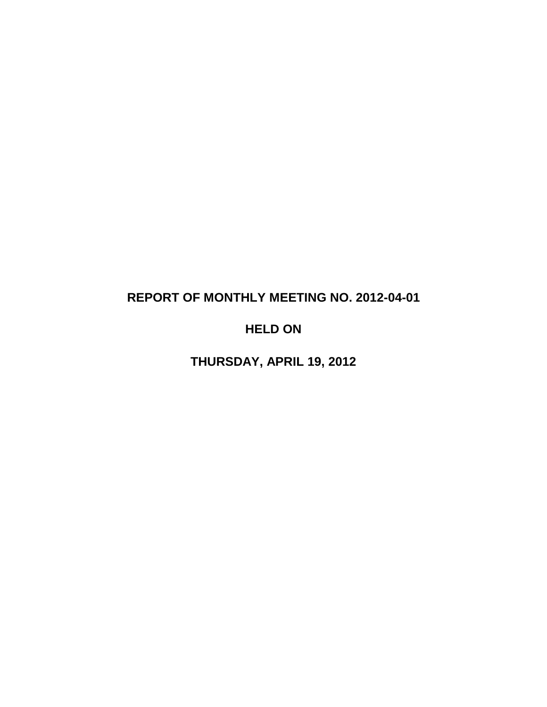# **REPORT OF MONTHLY MEETING NO. 2012-04-01**

# **HELD ON**

**THURSDAY, APRIL 19, 2012**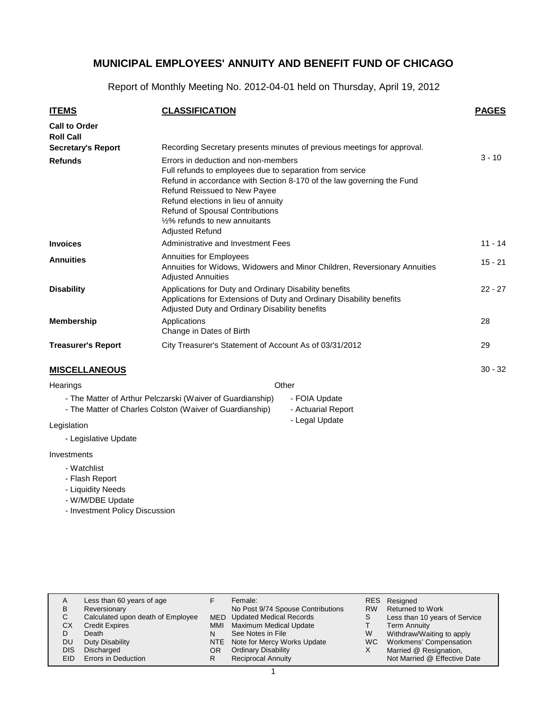Report of Monthly Meeting No. 2012-04-01 held on Thursday, April 19, 2012

| <b>ITEMS</b>                                                          | <b>CLASSIFICATION</b>                                                                                                                                                                                                                                                                                                                                 | <b>PAGES</b> |
|-----------------------------------------------------------------------|-------------------------------------------------------------------------------------------------------------------------------------------------------------------------------------------------------------------------------------------------------------------------------------------------------------------------------------------------------|--------------|
| <b>Call to Order</b><br><b>Roll Call</b><br><b>Secretary's Report</b> | Recording Secretary presents minutes of previous meetings for approval.                                                                                                                                                                                                                                                                               |              |
| <b>Refunds</b>                                                        | Errors in deduction and non-members<br>Full refunds to employees due to separation from service<br>Refund in accordance with Section 8-170 of the law governing the Fund<br><b>Refund Reissued to New Payee</b><br>Refund elections in lieu of annuity<br>Refund of Spousal Contributions<br>1/2% refunds to new annuitants<br><b>Adjusted Refund</b> | $3 - 10$     |
| <b>Invoices</b>                                                       | Administrative and Investment Fees                                                                                                                                                                                                                                                                                                                    | $11 - 14$    |
| <b>Annuities</b>                                                      | Annuities for Employees<br>Annuities for Widows, Widowers and Minor Children, Reversionary Annuities<br><b>Adjusted Annuities</b>                                                                                                                                                                                                                     | $15 - 21$    |
| <b>Disability</b>                                                     | Applications for Duty and Ordinary Disability benefits<br>Applications for Extensions of Duty and Ordinary Disability benefits<br>Adjusted Duty and Ordinary Disability benefits                                                                                                                                                                      | $22 - 27$    |
| <b>Membership</b>                                                     | Applications<br>Change in Dates of Birth                                                                                                                                                                                                                                                                                                              | 28           |
| <b>Treasurer's Report</b>                                             | City Treasurer's Statement of Account As of 03/31/2012                                                                                                                                                                                                                                                                                                | 29           |
| <b>MISCELLANEOUS</b>                                                  |                                                                                                                                                                                                                                                                                                                                                       | $30 - 32$    |
| Hearings                                                              | Other                                                                                                                                                                                                                                                                                                                                                 |              |

| - The Matter of Arthur Pelczarski (Waiver of Guardianship) | - FOIA Update                        |
|------------------------------------------------------------|--------------------------------------|
| - The Matter of Charles Colston (Waiver of Guardianship)   | - Actuarial Report<br>- Legal Update |
| Legislation                                                |                                      |

- Legislative Update

Investments

- Watchlist
- Flash Report
- Liquidity Needs
- W/M/DBE Update
- Investment Policy Discussion

| A<br>В<br>С<br>СX<br>DU<br><b>DIS</b><br>EID. | Less than 60 years of age<br>Reversionary<br>Calculated upon death of Employee<br><b>Credit Expires</b><br>Death<br>Duty Disability<br>Discharged<br><b>Errors in Deduction</b> | <b>MMI</b><br>ΟR | Female:<br>No Post 9/74 Spouse Contributions<br><b>MED</b> Updated Medical Records<br>Maximum Medical Update<br>See Notes in File<br>NTE Note for Mercy Works Update<br><b>Ordinary Disability</b><br><b>Reciprocal Annuity</b> | <b>RES</b><br><b>RW</b><br>S<br>W<br>WC.<br>X | Resigned<br><b>Returned to Work</b><br>Less than 10 years of Service<br><b>Term Annuity</b><br>Withdraw/Waiting to apply<br>Workmens' Compensation<br>Married @ Resignation,<br>Not Married @ Effective Date |
|-----------------------------------------------|---------------------------------------------------------------------------------------------------------------------------------------------------------------------------------|------------------|---------------------------------------------------------------------------------------------------------------------------------------------------------------------------------------------------------------------------------|-----------------------------------------------|--------------------------------------------------------------------------------------------------------------------------------------------------------------------------------------------------------------|
|-----------------------------------------------|---------------------------------------------------------------------------------------------------------------------------------------------------------------------------------|------------------|---------------------------------------------------------------------------------------------------------------------------------------------------------------------------------------------------------------------------------|-----------------------------------------------|--------------------------------------------------------------------------------------------------------------------------------------------------------------------------------------------------------------|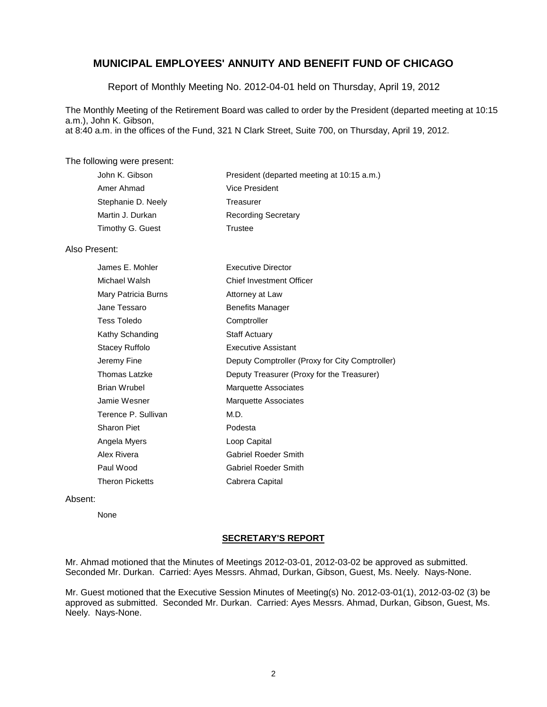Report of Monthly Meeting No. 2012-04-01 held on Thursday, April 19, 2012

The Monthly Meeting of the Retirement Board was called to order by the President (departed meeting at 10:15 a.m.), John K. Gibson, at 8:40 a.m. in the offices of the Fund, 321 N Clark Street, Suite 700, on Thursday, April 19, 2012.

#### The following were present:

| John K. Gibson     | President (departed meeting at 10:15 a.m.) |
|--------------------|--------------------------------------------|
| Amer Ahmad         | Vice President                             |
| Stephanie D. Neely | Treasurer                                  |
| Martin J. Durkan   | <b>Recording Secretary</b>                 |
| Timothy G. Guest   | Trustee                                    |

#### Also Present:

| James E. Mohler        | Executive Director                              |
|------------------------|-------------------------------------------------|
| Michael Walsh          | <b>Chief Investment Officer</b>                 |
| Mary Patricia Burns    | Attorney at Law                                 |
| Jane Tessaro           | <b>Benefits Manager</b>                         |
| <b>Tess Toledo</b>     | Comptroller                                     |
| Kathy Schanding        | <b>Staff Actuary</b>                            |
| Stacey Ruffolo         | Executive Assistant                             |
| Jeremy Fine            | Deputy Comptroller (Proxy for City Comptroller) |
| Thomas Latzke          | Deputy Treasurer (Proxy for the Treasurer)      |
| <b>Brian Wrubel</b>    | <b>Marquette Associates</b>                     |
| Jamie Wesner           | <b>Marquette Associates</b>                     |
| Terence P. Sullivan    | M.D.                                            |
| <b>Sharon Piet</b>     | Podesta                                         |
| Angela Myers           | Loop Capital                                    |
| Alex Rivera            | <b>Gabriel Roeder Smith</b>                     |
| Paul Wood              | <b>Gabriel Roeder Smith</b>                     |
| <b>Theron Picketts</b> | Cabrera Capital                                 |

#### Absent:

None

#### **SECRETARY'S REPORT**

Mr. Ahmad motioned that the Minutes of Meetings 2012-03-01, 2012-03-02 be approved as submitted. Seconded Mr. Durkan. Carried: Ayes Messrs. Ahmad, Durkan, Gibson, Guest, Ms. Neely. Nays-None.

Mr. Guest motioned that the Executive Session Minutes of Meeting(s) No. 2012-03-01(1), 2012-03-02 (3) be approved as submitted. Seconded Mr. Durkan. Carried: Ayes Messrs. Ahmad, Durkan, Gibson, Guest, Ms. Neely. Nays-None.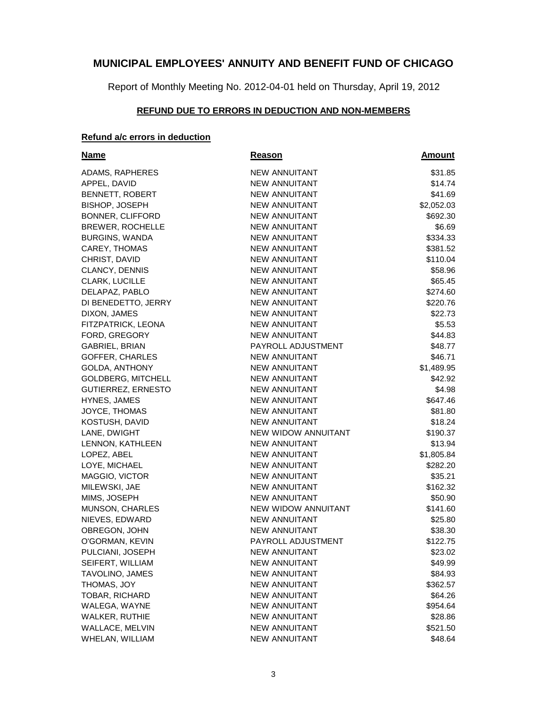Report of Monthly Meeting No. 2012-04-01 held on Thursday, April 19, 2012

### **REFUND DUE TO ERRORS IN DEDUCTION AND NON-MEMBERS**

### **Refund a/c errors in deduction**

| <b>Name</b>               | Reason               | <u>Amount</u> |
|---------------------------|----------------------|---------------|
| ADAMS, RAPHERES           | <b>NEW ANNUITANT</b> | \$31.85       |
| APPEL, DAVID              | <b>NEW ANNUITANT</b> | \$14.74       |
| BENNETT, ROBERT           | NEW ANNUITANT        | \$41.69       |
| <b>BISHOP, JOSEPH</b>     | <b>NEW ANNUITANT</b> | \$2,052.03    |
| BONNER, CLIFFORD          | NEW ANNUITANT        | \$692.30      |
| BREWER, ROCHELLE          | <b>NEW ANNUITANT</b> | \$6.69        |
| <b>BURGINS, WANDA</b>     | NEW ANNUITANT        | \$334.33      |
| CAREY, THOMAS             | <b>NEW ANNUITANT</b> | \$381.52      |
| CHRIST, DAVID             | <b>NEW ANNUITANT</b> | \$110.04      |
| CLANCY, DENNIS            | <b>NEW ANNUITANT</b> | \$58.96       |
| <b>CLARK, LUCILLE</b>     | NEW ANNUITANT        | \$65.45       |
| DELAPAZ, PABLO            | NEW ANNUITANT        | \$274.60      |
| DI BENEDETTO, JERRY       | NEW ANNUITANT        | \$220.76      |
| DIXON, JAMES              | NEW ANNUITANT        | \$22.73       |
| FITZPATRICK, LEONA        | <b>NEW ANNUITANT</b> | \$5.53        |
| FORD, GREGORY             | NEW ANNUITANT        | \$44.83       |
| <b>GABRIEL, BRIAN</b>     | PAYROLL ADJUSTMENT   | \$48.77       |
| GOFFER, CHARLES           | <b>NEW ANNUITANT</b> | \$46.71       |
| <b>GOLDA, ANTHONY</b>     | <b>NEW ANNUITANT</b> | \$1,489.95    |
| <b>GOLDBERG, MITCHELL</b> | <b>NEW ANNUITANT</b> | \$42.92       |
| <b>GUTIERREZ, ERNESTO</b> | <b>NEW ANNUITANT</b> | \$4.98        |
| HYNES, JAMES              | <b>NEW ANNUITANT</b> | \$647.46      |
| JOYCE, THOMAS             | <b>NEW ANNUITANT</b> | \$81.80       |
| KOSTUSH, DAVID            | <b>NEW ANNUITANT</b> | \$18.24       |
| LANE, DWIGHT              | NEW WIDOW ANNUITANT  | \$190.37      |
| LENNON, KATHLEEN          | <b>NEW ANNUITANT</b> | \$13.94       |
| LOPEZ, ABEL               | <b>NEW ANNUITANT</b> | \$1,805.84    |
| LOYE, MICHAEL             | <b>NEW ANNUITANT</b> | \$282.20      |
| MAGGIO, VICTOR            | <b>NEW ANNUITANT</b> | \$35.21       |
| MILEWSKI, JAE             | NEW ANNUITANT        | \$162.32      |
| MIMS, JOSEPH              | <b>NEW ANNUITANT</b> | \$50.90       |
| <b>MUNSON, CHARLES</b>    | NEW WIDOW ANNUITANT  | \$141.60      |
| NIEVES, EDWARD            | <b>NEW ANNUITANT</b> | \$25.80       |
| OBREGON, JOHN             | <b>NEW ANNUITANT</b> | \$38.30       |
| O'GORMAN, KEVIN           | PAYROLL ADJUSTMENT   | \$122.75      |
| PULCIANI, JOSEPH          | NEW ANNUITANT        | \$23.02       |
| SEIFERT, WILLIAM          | <b>NEW ANNUITANT</b> | \$49.99       |
| TAVOLINO, JAMES           | <b>NEW ANNUITANT</b> | \$84.93       |
| THOMAS, JOY               | <b>NEW ANNUITANT</b> | \$362.57      |
| <b>TOBAR, RICHARD</b>     | <b>NEW ANNUITANT</b> | \$64.26       |
| WALEGA, WAYNE             | <b>NEW ANNUITANT</b> | \$954.64      |
| <b>WALKER, RUTHIE</b>     | <b>NEW ANNUITANT</b> | \$28.86       |
| WALLACE, MELVIN           | <b>NEW ANNUITANT</b> | \$521.50      |
| WHELAN, WILLIAM           | <b>NEW ANNUITANT</b> | \$48.64       |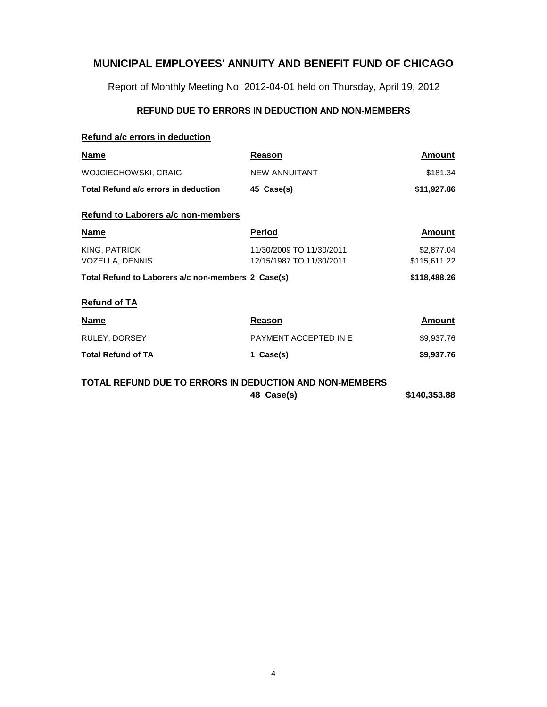Report of Monthly Meeting No. 2012-04-01 held on Thursday, April 19, 2012

### **REFUND DUE TO ERRORS IN DEDUCTION AND NON-MEMBERS**

#### **Refund a/c errors in deduction**

| <b>Name</b>                                                    | Reason                                               | Amount                     |
|----------------------------------------------------------------|------------------------------------------------------|----------------------------|
| <b>WOJCIECHOWSKI, CRAIG</b>                                    | <b>NEW ANNUITANT</b>                                 | \$181.34                   |
| Total Refund a/c errors in deduction                           | 45 Case(s)                                           | \$11,927.86                |
| Refund to Laborers a/c non-members                             |                                                      |                            |
| <b>Name</b>                                                    | <b>Period</b>                                        | Amount                     |
| KING, PATRICK<br>VOZELLA, DENNIS                               | 11/30/2009 TO 11/30/2011<br>12/15/1987 TO 11/30/2011 | \$2,877.04<br>\$115,611.22 |
| Total Refund to Laborers a/c non-members 2 Case(s)             |                                                      | \$118,488.26               |
| <b>Refund of TA</b>                                            |                                                      |                            |
| <b>Name</b>                                                    | Reason                                               | Amount                     |
| RULEY, DORSEY                                                  | PAYMENT ACCEPTED IN E                                | \$9,937.76                 |
| <b>Total Refund of TA</b>                                      | 1 Case(s)                                            | \$9,937.76                 |
| <b>TOTAL REFUND DUE TO ERRORS IN DEDUCTION AND NON-MEMBERS</b> |                                                      |                            |

**48 Case(s) \$140,353.88**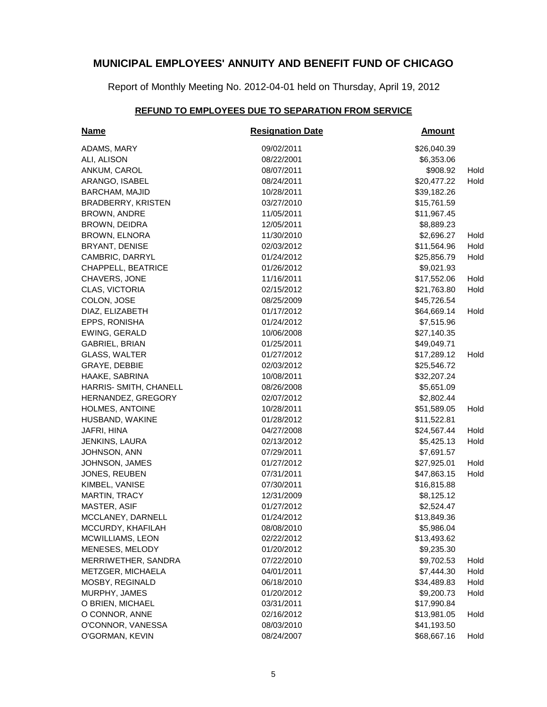Report of Monthly Meeting No. 2012-04-01 held on Thursday, April 19, 2012

### **REFUND TO EMPLOYEES DUE TO SEPARATION FROM SERVICE**

| <u>Name</u>                            | <b>Resignation Date</b> | <b>Amount</b>             |      |
|----------------------------------------|-------------------------|---------------------------|------|
| ADAMS, MARY                            | 09/02/2011              | \$26,040.39               |      |
| ALI, ALISON                            | 08/22/2001              | \$6,353.06                |      |
| ANKUM, CAROL                           | 08/07/2011              | \$908.92                  | Hold |
| ARANGO, ISABEL                         | 08/24/2011              | \$20,477.22               | Hold |
| <b>BARCHAM, MAJID</b>                  | 10/28/2011              | \$39,182.26               |      |
| <b>BRADBERRY, KRISTEN</b>              | 03/27/2010              | \$15,761.59               |      |
| BROWN, ANDRE                           | 11/05/2011              | \$11,967.45               |      |
| BROWN, DEIDRA                          | 12/05/2011              | \$8,889.23                |      |
| BROWN, ELNORA                          | 11/30/2010              | \$2,696.27                | Hold |
| BRYANT, DENISE                         | 02/03/2012              | \$11,564.96               | Hold |
| CAMBRIC, DARRYL                        | 01/24/2012              | \$25,856.79               | Hold |
| CHAPPELL, BEATRICE                     | 01/26/2012              | \$9,021.93                |      |
| CHAVERS, JONE                          | 11/16/2011              | \$17,552.06               | Hold |
| CLAS, VICTORIA                         | 02/15/2012              | \$21,763.80               | Hold |
| COLON, JOSE                            | 08/25/2009              | \$45,726.54               |      |
| DIAZ, ELIZABETH                        | 01/17/2012              | \$64,669.14               | Hold |
| EPPS, RONISHA                          | 01/24/2012              | \$7,515.96                |      |
| EWING, GERALD                          | 10/06/2008              | \$27,140.35               |      |
| GABRIEL, BRIAN                         | 01/25/2011              | \$49,049.71               |      |
| <b>GLASS, WALTER</b>                   | 01/27/2012              | \$17,289.12               | Hold |
| GRAYE, DEBBIE                          | 02/03/2012              | \$25,546.72               |      |
| HAAKE, SABRINA                         | 10/08/2011              | \$32,207.24               |      |
| HARRIS- SMITH, CHANELL                 | 08/26/2008              | \$5,651.09                |      |
| HERNANDEZ, GREGORY                     | 02/07/2012              | \$2,802.44                |      |
| HOLMES, ANTOINE                        | 10/28/2011              | \$51,589.05               | Hold |
| HUSBAND, WAKINE                        | 01/28/2012              | \$11,522.81               |      |
| JAFRI, HINA                            | 04/27/2008              | \$24,567.44               | Hold |
| JENKINS, LAURA                         | 02/13/2012              | \$5,425.13                | Hold |
| JOHNSON, ANN                           | 07/29/2011              | \$7,691.57                |      |
| JOHNSON, JAMES                         | 01/27/2012              | \$27,925.01               | Hold |
| JONES, REUBEN                          | 07/31/2011              | \$47,863.15               | Hold |
| KIMBEL, VANISE                         | 07/30/2011              |                           |      |
|                                        | 12/31/2009              | \$16,815.88<br>\$8,125.12 |      |
| MARTIN, TRACY                          |                         |                           |      |
| MASTER, ASIF                           | 01/27/2012              | \$2,524.47                |      |
| MCCLANEY, DARNELL<br>MCCURDY, KHAFILAH | 01/24/2012              | \$13,849.36<br>\$5,986.04 |      |
|                                        | 08/08/2010              |                           |      |
| MCWILLIAMS, LEON                       | 02/22/2012              | \$13,493.62               |      |
| MENESES, MELODY                        | 01/20/2012              | \$9,235.30                |      |
| MERRIWETHER, SANDRA                    | 07/22/2010              | \$9,702.53                | Hold |
| METZGER, MICHAELA                      | 04/01/2011              | \$7,444.30                | Hold |
| MOSBY, REGINALD                        | 06/18/2010              | \$34,489.83               | Hold |
| MURPHY, JAMES                          | 01/20/2012              | \$9,200.73                | Hold |
| O BRIEN, MICHAEL                       | 03/31/2011              | \$17,990.84               |      |
| O CONNOR, ANNE                         | 02/16/2012              | \$13,981.05               | Hold |
| O'CONNOR, VANESSA                      | 08/03/2010              | \$41,193.50               |      |
| O'GORMAN, KEVIN                        | 08/24/2007              | \$68,667.16               | Hold |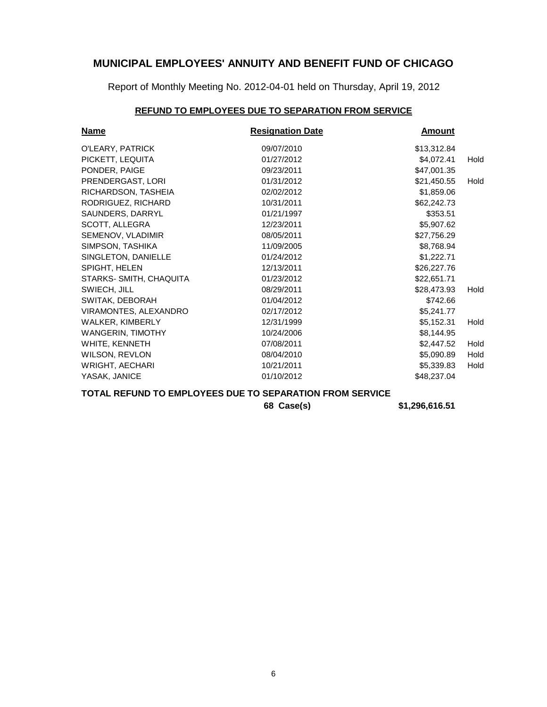Report of Monthly Meeting No. 2012-04-01 held on Thursday, April 19, 2012

### **REFUND TO EMPLOYEES DUE TO SEPARATION FROM SERVICE**

| <b>Name</b>              | <b>Resignation Date</b> | Amount      |      |
|--------------------------|-------------------------|-------------|------|
| O'LEARY, PATRICK         | 09/07/2010              | \$13,312.84 |      |
| PICKETT, LEQUITA         | 01/27/2012              | \$4,072.41  | Hold |
| PONDER, PAIGE            | 09/23/2011              | \$47,001.35 |      |
| PRENDERGAST, LORI        | 01/31/2012              | \$21,450.55 | Hold |
| RICHARDSON, TASHEIA      | 02/02/2012              | \$1,859.06  |      |
| RODRIGUEZ, RICHARD       | 10/31/2011              | \$62,242.73 |      |
| SAUNDERS, DARRYL         | 01/21/1997              | \$353.51    |      |
| SCOTT, ALLEGRA           | 12/23/2011              | \$5,907.62  |      |
| SEMENOV, VLADIMIR        | 08/05/2011              | \$27,756.29 |      |
| SIMPSON, TASHIKA         | 11/09/2005              | \$8,768.94  |      |
| SINGLETON, DANIELLE      | 01/24/2012              | \$1,222.71  |      |
| SPIGHT, HELEN            | 12/13/2011              | \$26,227.76 |      |
| STARKS- SMITH, CHAQUITA  | 01/23/2012              | \$22,651.71 |      |
| SWIECH, JILL             | 08/29/2011              | \$28,473.93 | Hold |
| SWITAK, DEBORAH          | 01/04/2012              | \$742.66    |      |
| VIRAMONTES, ALEXANDRO    | 02/17/2012              | \$5,241.77  |      |
| <b>WALKER, KIMBERLY</b>  | 12/31/1999              | \$5,152.31  | Hold |
| <b>WANGERIN, TIMOTHY</b> | 10/24/2006              | \$8,144.95  |      |
| WHITE, KENNETH           | 07/08/2011              | \$2,447.52  | Hold |
| WILSON, REVLON           | 08/04/2010              | \$5,090.89  | Hold |
| <b>WRIGHT, AECHARI</b>   | 10/21/2011              | \$5,339.83  | Hold |
| YASAK, JANICE            | 01/10/2012              | \$48,237.04 |      |

### **TOTAL REFUND TO EMPLOYEES DUE TO SEPARATION FROM SERVICE**

**68 Case(s) \$1,296,616.51**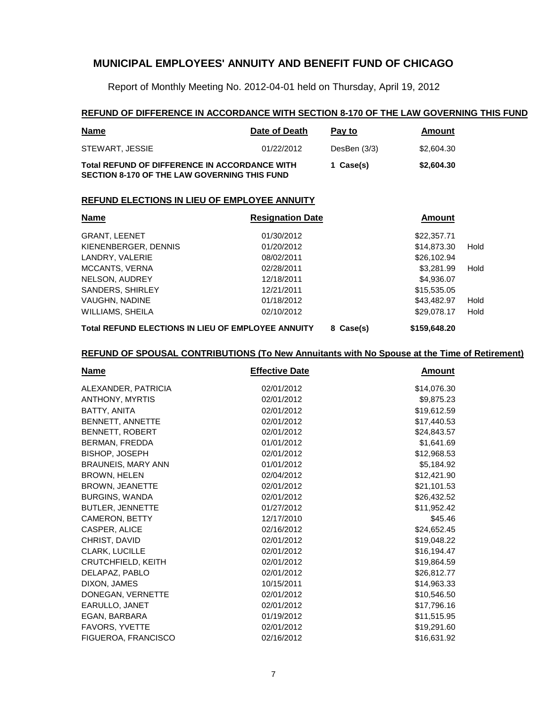Report of Monthly Meeting No. 2012-04-01 held on Thursday, April 19, 2012

### **REFUND OF DIFFERENCE IN ACCORDANCE WITH SECTION 8-170 OF THE LAW GOVERNING THIS FUND**

| <u>Name</u>                                                                                                 | Date of Death | Pay to         | Amount     |
|-------------------------------------------------------------------------------------------------------------|---------------|----------------|------------|
| STEWART. JESSIE                                                                                             | 01/22/2012    | DesBen $(3/3)$ | \$2,604.30 |
| <b>Total REFUND OF DIFFERENCE IN ACCORDANCE WITH</b><br><b>SECTION 8-170 OF THE LAW GOVERNING THIS FUND</b> |               | 1 Case(s)      | \$2,604.30 |

#### **REFUND ELECTIONS IN LIEU OF EMPLOYEE ANNUITY**

| <b>Name</b>                                               | <b>Resignation Date</b> | <b>Amount</b>       |
|-----------------------------------------------------------|-------------------------|---------------------|
| <b>GRANT, LEENET</b>                                      | 01/30/2012              | \$22,357.71         |
| KIENENBERGER, DENNIS                                      | 01/20/2012              | \$14,873.30<br>Hold |
| LANDRY, VALERIE                                           | 08/02/2011              | \$26,102.94         |
| MCCANTS, VERNA                                            | 02/28/2011              | \$3,281.99<br>Hold  |
| NELSON, AUDREY                                            | 12/18/2011              | \$4,936.07          |
| SANDERS, SHIRLEY                                          | 12/21/2011              | \$15,535.05         |
| <b>VAUGHN, NADINE</b>                                     | 01/18/2012              | \$43,482.97<br>Hold |
| WILLIAMS, SHEILA                                          | 02/10/2012              | \$29,078.17<br>Hold |
| <b>Total REFUND ELECTIONS IN LIEU OF EMPLOYEE ANNUITY</b> | 8 Case(s)               | \$159,648.20        |

#### **REFUND OF SPOUSAL CONTRIBUTIONS (To New Annuitants with No Spouse at the Time of Retirement)**

| <b>Name</b>               | <b>Effective Date</b> | Amount      |
|---------------------------|-----------------------|-------------|
| ALEXANDER, PATRICIA       | 02/01/2012            | \$14,076.30 |
| ANTHONY, MYRTIS           | 02/01/2012            | \$9,875.23  |
| BATTY, ANITA              | 02/01/2012            | \$19,612.59 |
| BENNETT, ANNETTE          | 02/01/2012            | \$17,440.53 |
| BENNETT, ROBERT           | 02/01/2012            | \$24,843.57 |
| BERMAN, FREDDA            | 01/01/2012            | \$1,641.69  |
| <b>BISHOP, JOSEPH</b>     | 02/01/2012            | \$12,968.53 |
| BRAUNEIS, MARY ANN        | 01/01/2012            | \$5,184.92  |
| BROWN, HELEN              | 02/04/2012            | \$12,421.90 |
| <b>BROWN, JEANETTE</b>    | 02/01/2012            | \$21,101.53 |
| <b>BURGINS, WANDA</b>     | 02/01/2012            | \$26,432.52 |
| BUTLER, JENNETTE          | 01/27/2012            | \$11,952.42 |
| CAMERON, BETTY            | 12/17/2010            | \$45.46     |
| CASPER, ALICE             | 02/16/2012            | \$24,652.45 |
| CHRIST, DAVID             | 02/01/2012            | \$19,048.22 |
| <b>CLARK, LUCILLE</b>     | 02/01/2012            | \$16,194.47 |
| <b>CRUTCHFIELD, KEITH</b> | 02/01/2012            | \$19,864.59 |
| DELAPAZ, PABLO            | 02/01/2012            | \$26,812.77 |
| DIXON, JAMES              | 10/15/2011            | \$14,963.33 |
| DONEGAN, VERNETTE         | 02/01/2012            | \$10,546.50 |
| EARULLO, JANET            | 02/01/2012            | \$17,796.16 |
| EGAN, BARBARA             | 01/19/2012            | \$11,515.95 |
| FAVORS, YVETTE            | 02/01/2012            | \$19,291.60 |
| FIGUEROA, FRANCISCO       | 02/16/2012            | \$16,631.92 |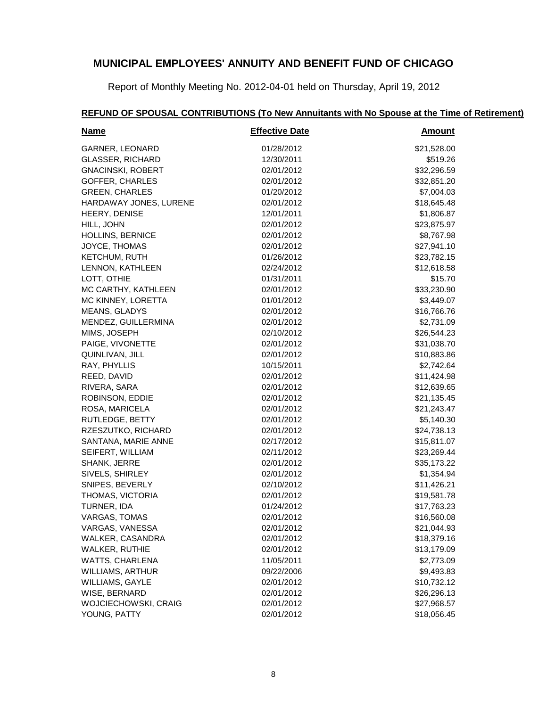Report of Monthly Meeting No. 2012-04-01 held on Thursday, April 19, 2012

# **REFUND OF SPOUSAL CONTRIBUTIONS (To New Annuitants with No Spouse at the Time of Retirement)**

| <b>Name</b>              | <b>Effective Date</b> | <u>Amount</u> |
|--------------------------|-----------------------|---------------|
| GARNER, LEONARD          | 01/28/2012            | \$21,528.00   |
| <b>GLASSER, RICHARD</b>  | 12/30/2011            | \$519.26      |
| <b>GNACINSKI, ROBERT</b> | 02/01/2012            | \$32,296.59   |
| GOFFER, CHARLES          | 02/01/2012            | \$32,851.20   |
| <b>GREEN, CHARLES</b>    | 01/20/2012            | \$7,004.03    |
| HARDAWAY JONES, LURENE   | 02/01/2012            | \$18,645.48   |
| HEERY, DENISE            | 12/01/2011            | \$1,806.87    |
| HILL, JOHN               | 02/01/2012            | \$23,875.97   |
| HOLLINS, BERNICE         | 02/01/2012            | \$8,767.98    |
| JOYCE, THOMAS            | 02/01/2012            | \$27,941.10   |
| <b>KETCHUM, RUTH</b>     | 01/26/2012            | \$23,782.15   |
| LENNON, KATHLEEN         | 02/24/2012            | \$12,618.58   |
| LOTT, OTHIE              | 01/31/2011            | \$15.70       |
| MC CARTHY, KATHLEEN      | 02/01/2012            | \$33,230.90   |
| MC KINNEY, LORETTA       | 01/01/2012            | \$3,449.07    |
| MEANS, GLADYS            | 02/01/2012            | \$16,766.76   |
| MENDEZ, GUILLERMINA      | 02/01/2012            | \$2,731.09    |
| MIMS, JOSEPH             | 02/10/2012            | \$26,544.23   |
| PAIGE, VIVONETTE         | 02/01/2012            | \$31,038.70   |
| QUINLIVAN, JILL          | 02/01/2012            | \$10,883.86   |
| RAY, PHYLLIS             | 10/15/2011            | \$2,742.64    |
| REED, DAVID              | 02/01/2012            | \$11,424.98   |
| RIVERA, SARA             | 02/01/2012            | \$12,639.65   |
| ROBINSON, EDDIE          | 02/01/2012            | \$21,135.45   |
| ROSA, MARICELA           | 02/01/2012            | \$21,243.47   |
| RUTLEDGE, BETTY          | 02/01/2012            | \$5,140.30    |
| RZESZUTKO, RICHARD       | 02/01/2012            | \$24,738.13   |
| SANTANA, MARIE ANNE      | 02/17/2012            | \$15,811.07   |
| SEIFERT, WILLIAM         | 02/11/2012            | \$23,269.44   |
| SHANK, JERRE             | 02/01/2012            | \$35,173.22   |
| SIVELS, SHIRLEY          | 02/01/2012            | \$1,354.94    |
| SNIPES, BEVERLY          | 02/10/2012            | \$11,426.21   |
| THOMAS, VICTORIA         | 02/01/2012            | \$19,581.78   |
| TURNER, IDA              | 01/24/2012            | \$17,763.23   |
| VARGAS, TOMAS            | 02/01/2012            | \$16,560.08   |
| VARGAS, VANESSA          | 02/01/2012            | \$21,044.93   |
| WALKER, CASANDRA         | 02/01/2012            | \$18,379.16   |
| WALKER, RUTHIE           | 02/01/2012            | \$13,179.09   |
| WATTS, CHARLENA          | 11/05/2011            | \$2,773.09    |
| WILLIAMS, ARTHUR         | 09/22/2006            | \$9,493.83    |
| WILLIAMS, GAYLE          | 02/01/2012            | \$10,732.12   |
| WISE, BERNARD            | 02/01/2012            | \$26,296.13   |
| WOJCIECHOWSKI, CRAIG     | 02/01/2012            | \$27,968.57   |
| YOUNG, PATTY             | 02/01/2012            | \$18,056.45   |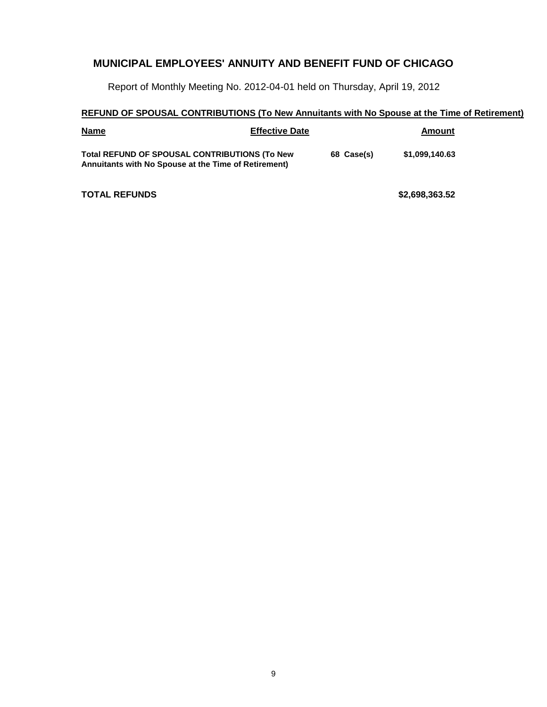Report of Monthly Meeting No. 2012-04-01 held on Thursday, April 19, 2012

#### **REFUND OF SPOUSAL CONTRIBUTIONS (To New Annuitants with No Spouse at the Time of Retirement)**

| <b>Name</b>                                                                                                  | <b>Effective Date</b> |            | Amount         |
|--------------------------------------------------------------------------------------------------------------|-----------------------|------------|----------------|
| <b>Total REFUND OF SPOUSAL CONTRIBUTIONS (To New</b><br>Annuitants with No Spouse at the Time of Retirement) |                       | 68 Case(s) | \$1,099,140.63 |

**TOTAL REFUNDS \$2,698,363.52**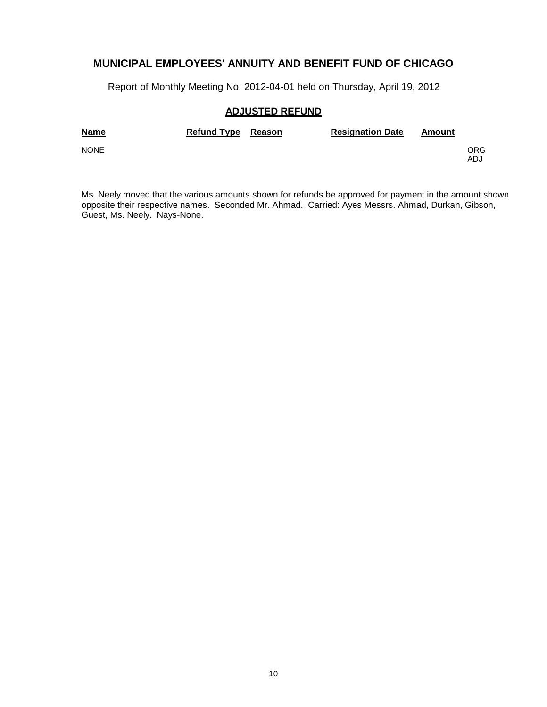Report of Monthly Meeting No. 2012-04-01 held on Thursday, April 19, 2012

### **ADJUSTED REFUND**

| <b>Name</b> | Refund Type Reason | <b>Resignation Date</b> | Amount |            |
|-------------|--------------------|-------------------------|--------|------------|
| <b>NONE</b> |                    |                         |        | ORG<br>ADJ |

Ms. Neely moved that the various amounts shown for refunds be approved for payment in the amount shown opposite their respective names. Seconded Mr. Ahmad. Carried: Ayes Messrs. Ahmad, Durkan, Gibson, Guest, Ms. Neely. Nays-None.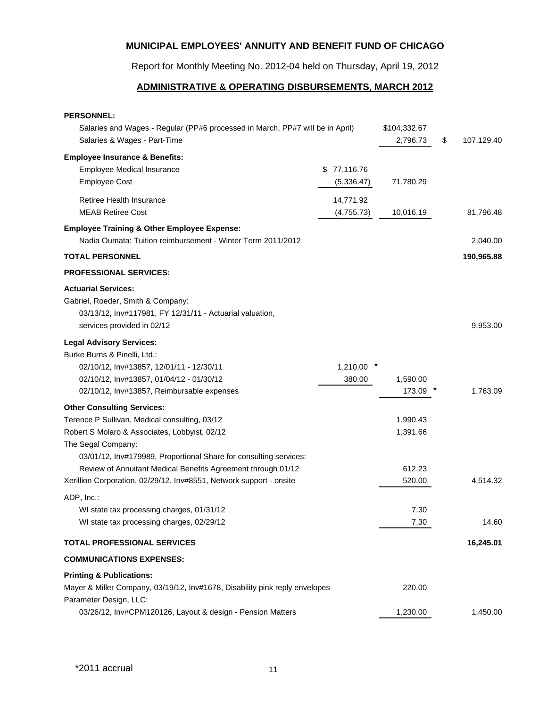Report for Monthly Meeting No. 2012-04 held on Thursday, April 19, 2012

### **ADMINISTRATIVE & OPERATING DISBURSEMENTS, MARCH 2012**

| <b>PERSONNEL:</b>                                                             |                |              |                  |
|-------------------------------------------------------------------------------|----------------|--------------|------------------|
| Salaries and Wages - Regular (PP#6 processed in March, PP#7 will be in April) |                | \$104,332.67 |                  |
| Salaries & Wages - Part-Time                                                  |                | 2,796.73     | \$<br>107,129.40 |
| <b>Employee Insurance &amp; Benefits:</b>                                     |                |              |                  |
| <b>Employee Medical Insurance</b>                                             | 77,116.76<br>S |              |                  |
| <b>Employee Cost</b>                                                          | (5,336.47)     | 71,780.29    |                  |
| Retiree Health Insurance                                                      | 14,771.92      |              |                  |
| <b>MEAB Retiree Cost</b>                                                      | (4,755.73)     | 10,016.19    | 81,796.48        |
| <b>Employee Training &amp; Other Employee Expense:</b>                        |                |              |                  |
| Nadia Oumata: Tuition reimbursement - Winter Term 2011/2012                   |                |              | 2,040.00         |
| <b>TOTAL PERSONNEL</b>                                                        |                |              | 190,965.88       |
| <b>PROFESSIONAL SERVICES:</b>                                                 |                |              |                  |
| <b>Actuarial Services:</b>                                                    |                |              |                  |
| Gabriel, Roeder, Smith & Company:                                             |                |              |                  |
| 03/13/12, Inv#117981, FY 12/31/11 - Actuarial valuation,                      |                |              |                  |
| services provided in 02/12                                                    |                |              | 9,953.00         |
| <b>Legal Advisory Services:</b>                                               |                |              |                  |
| Burke Burns & Pinelli, Ltd.:                                                  |                |              |                  |
| 02/10/12, Inv#13857, 12/01/11 - 12/30/11                                      | 1,210.00       |              |                  |
| 02/10/12, Inv#13857, 01/04/12 - 01/30/12                                      | 380.00         | 1,590.00     |                  |
| 02/10/12, Inv#13857, Reimbursable expenses                                    |                | 173.09       | 1,763.09         |
| <b>Other Consulting Services:</b>                                             |                |              |                  |
| Terence P Sullivan, Medical consulting, 03/12                                 |                | 1,990.43     |                  |
| Robert S Molaro & Associates, Lobbyist, 02/12                                 |                | 1,391.66     |                  |
| The Segal Company:                                                            |                |              |                  |
| 03/01/12, Inv#179989, Proportional Share for consulting services:             |                |              |                  |
| Review of Annuitant Medical Benefits Agreement through 01/12                  |                | 612.23       |                  |
| Xerillion Corporation, 02/29/12, Inv#8551, Network support - onsite           |                | 520.00       | 4,514.32         |
| ADP, Inc.:                                                                    |                |              |                  |
| WI state tax processing charges, 01/31/12                                     |                | 7.30         |                  |
| WI state tax processing charges, 02/29/12                                     |                | 7.30         | 14.60            |
| <b>TOTAL PROFESSIONAL SERVICES</b>                                            |                |              | 16,245.01        |
| <b>COMMUNICATIONS EXPENSES:</b>                                               |                |              |                  |
| <b>Printing &amp; Publications:</b>                                           |                |              |                  |
| Mayer & Miller Company, 03/19/12, Inv#1678, Disability pink reply envelopes   |                | 220.00       |                  |
| Parameter Design, LLC:                                                        |                |              |                  |
| 03/26/12, Inv#CPM120126, Layout & design - Pension Matters                    |                | 1,230.00     | 1,450.00         |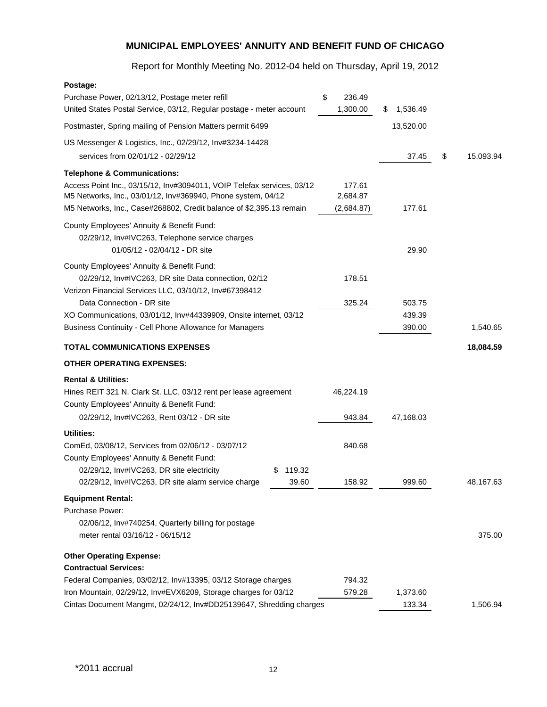Report for Monthly Meeting No. 2012-04 held on Thursday, April 19, 2012

| Postage:                                                               |              |                |                 |
|------------------------------------------------------------------------|--------------|----------------|-----------------|
| Purchase Power, 02/13/12, Postage meter refill                         | \$<br>236.49 |                |                 |
| United States Postal Service, 03/12, Regular postage - meter account   | 1,300.00     | \$<br>1,536.49 |                 |
| Postmaster, Spring mailing of Pension Matters permit 6499              |              | 13,520.00      |                 |
| US Messenger & Logistics, Inc., 02/29/12, Inv#3234-14428               |              |                |                 |
| services from 02/01/12 - 02/29/12                                      |              | 37.45          | 15,093.94<br>\$ |
| <b>Telephone &amp; Communications:</b>                                 |              |                |                 |
| Access Point Inc., 03/15/12, Inv#3094011, VOIP Telefax services, 03/12 | 177.61       |                |                 |
| M5 Networks, Inc., 03/01/12, Inv#369940, Phone system, 04/12           | 2,684.87     |                |                 |
| M5 Networks, Inc., Case#268802, Credit balance of \$2,395.13 remain    | (2,684.87)   | 177.61         |                 |
| County Employees' Annuity & Benefit Fund:                              |              |                |                 |
| 02/29/12, Inv#IVC263, Telephone service charges                        |              |                |                 |
| 01/05/12 - 02/04/12 - DR site                                          |              | 29.90          |                 |
| County Employees' Annuity & Benefit Fund:                              |              |                |                 |
| 02/29/12, Inv#IVC263, DR site Data connection, 02/12                   | 178.51       |                |                 |
| Verizon Financial Services LLC, 03/10/12, Inv#67398412                 |              |                |                 |
| Data Connection - DR site                                              | 325.24       | 503.75         |                 |
| XO Communications, 03/01/12, Inv#44339909, Onsite internet, 03/12      |              | 439.39         |                 |
| Business Continuity - Cell Phone Allowance for Managers                |              | 390.00         | 1,540.65        |
| <b>TOTAL COMMUNICATIONS EXPENSES</b>                                   |              |                | 18,084.59       |
| <b>OTHER OPERATING EXPENSES:</b>                                       |              |                |                 |
| <b>Rental &amp; Utilities:</b>                                         |              |                |                 |
| Hines REIT 321 N. Clark St. LLC, 03/12 rent per lease agreement        | 46,224.19    |                |                 |
| County Employees' Annuity & Benefit Fund:                              |              |                |                 |
| 02/29/12, Inv#IVC263, Rent 03/12 - DR site                             | 943.84       | 47,168.03      |                 |
| Utilities:                                                             |              |                |                 |
| ComEd, 03/08/12, Services from 02/06/12 - 03/07/12                     | 840.68       |                |                 |
| County Employees' Annuity & Benefit Fund:                              |              |                |                 |
| 02/29/12, Inv#IVC263, DR site electricity<br>119.32<br>S.              |              |                |                 |
| 02/29/12, Inv#IVC263, DR site alarm service charge<br>39.60            | 158.92       | 999.60         | 48,167.63       |
| <b>Equipment Rental:</b>                                               |              |                |                 |
| <b>Purchase Power:</b>                                                 |              |                |                 |
| 02/06/12, Inv#740254, Quarterly billing for postage                    |              |                |                 |
| meter rental 03/16/12 - 06/15/12                                       |              |                | 375.00          |
| <b>Other Operating Expense:</b>                                        |              |                |                 |
| <b>Contractual Services:</b>                                           |              |                |                 |
| Federal Companies, 03/02/12, Inv#13395, 03/12 Storage charges          | 794.32       |                |                 |
| Iron Mountain, 02/29/12, Inv#EVX6209, Storage charges for 03/12        | 579.28       | 1,373.60       |                 |
| Cintas Document Mangmt, 02/24/12, Inv#DD25139647, Shredding charges    |              | 133.34         | 1,506.94        |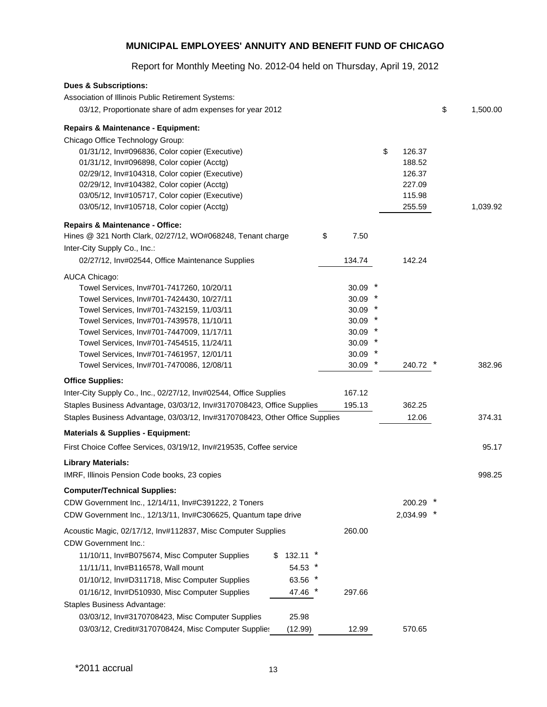Report for Monthly Meeting No. 2012-04 held on Thursday, April 19, 2012

| <b>Dues &amp; Subscriptions:</b>                                            |               |            |              |                |
|-----------------------------------------------------------------------------|---------------|------------|--------------|----------------|
| Association of Illinois Public Retirement Systems:                          |               |            |              |                |
| 03/12, Proportionate share of adm expenses for year 2012                    |               |            |              | \$<br>1,500.00 |
| <b>Repairs &amp; Maintenance - Equipment:</b>                               |               |            |              |                |
| Chicago Office Technology Group:                                            |               |            |              |                |
| 01/31/12, Inv#096836, Color copier (Executive)                              |               |            | \$<br>126.37 |                |
| 01/31/12, Inv#096898, Color copier (Acctg)                                  |               |            | 188.52       |                |
| 02/29/12, Inv#104318, Color copier (Executive)                              |               |            | 126.37       |                |
| 02/29/12, Inv#104382, Color copier (Acctg)                                  |               |            | 227.09       |                |
| 03/05/12, Inv#105717, Color copier (Executive)                              |               |            | 115.98       |                |
| 03/05/12, Inv#105718, Color copier (Acctg)                                  |               |            | 255.59       | 1,039.92       |
| <b>Repairs &amp; Maintenance - Office:</b>                                  |               |            |              |                |
| Hines @ 321 North Clark, 02/27/12, WO#068248, Tenant charge                 |               | \$<br>7.50 |              |                |
| Inter-City Supply Co., Inc.:                                                |               |            |              |                |
| 02/27/12, Inv#02544, Office Maintenance Supplies                            |               | 134.74     | 142.24       |                |
| <b>AUCA Chicago:</b>                                                        |               |            |              |                |
| Towel Services, Inv#701-7417260, 10/20/11                                   |               | 30.09      |              |                |
| Towel Services, Inv#701-7424430, 10/27/11                                   |               | 30.09      |              |                |
| Towel Services, Inv#701-7432159, 11/03/11                                   |               | 30.09      |              |                |
| Towel Services, Inv#701-7439578, 11/10/11                                   |               | 30.09      |              |                |
| Towel Services, Inv#701-7447009, 11/17/11                                   |               | 30.09      |              |                |
| Towel Services, Inv#701-7454515, 11/24/11                                   |               | 30.09      |              |                |
| Towel Services, Inv#701-7461957, 12/01/11                                   |               | 30.09      |              |                |
| Towel Services, Inv#701-7470086, 12/08/11                                   |               | 30.09      | 240.72       | 382.96         |
| <b>Office Supplies:</b>                                                     |               |            |              |                |
| Inter-City Supply Co., Inc., 02/27/12, Inv#02544, Office Supplies           |               | 167.12     |              |                |
| Staples Business Advantage, 03/03/12, Inv#3170708423, Office Supplies       |               | 195.13     | 362.25       |                |
| Staples Business Advantage, 03/03/12, Inv#3170708423, Other Office Supplies |               |            | 12.06        | 374.31         |
| <b>Materials &amp; Supplies - Equipment:</b>                                |               |            |              |                |
| First Choice Coffee Services, 03/19/12, Inv#219535, Coffee service          |               |            |              | 95.17          |
| <b>Library Materials:</b>                                                   |               |            |              |                |
| IMRF, Illinois Pension Code books, 23 copies                                |               |            |              | 998.25         |
| <b>Computer/Technical Supplies:</b>                                         |               |            |              |                |
| CDW Government Inc., 12/14/11, Inv#C391222, 2 Toners                        |               |            | 200.29       |                |
| CDW Government Inc., 12/13/11, Inv#C306625, Quantum tape drive              |               |            | 2,034.99     |                |
| Acoustic Magic, 02/17/12, Inv#112837, Misc Computer Supplies                |               | 260.00     |              |                |
| <b>CDW Government Inc.:</b>                                                 |               |            |              |                |
| 11/10/11, Inv#B075674, Misc Computer Supplies                               | \$.<br>132.11 |            |              |                |
| 11/11/11, Inv#B116578, Wall mount                                           | 54.53         |            |              |                |
| 01/10/12, Inv#D311718, Misc Computer Supplies                               | 63.56         |            |              |                |
| 01/16/12, Inv#D510930, Misc Computer Supplies                               | 47.46         | 297.66     |              |                |
| Staples Business Advantage:                                                 |               |            |              |                |
| 03/03/12, Inv#3170708423, Misc Computer Supplies                            | 25.98         |            |              |                |
| 03/03/12, Credit#3170708424, Misc Computer Supplies                         | (12.99)       | 12.99      | 570.65       |                |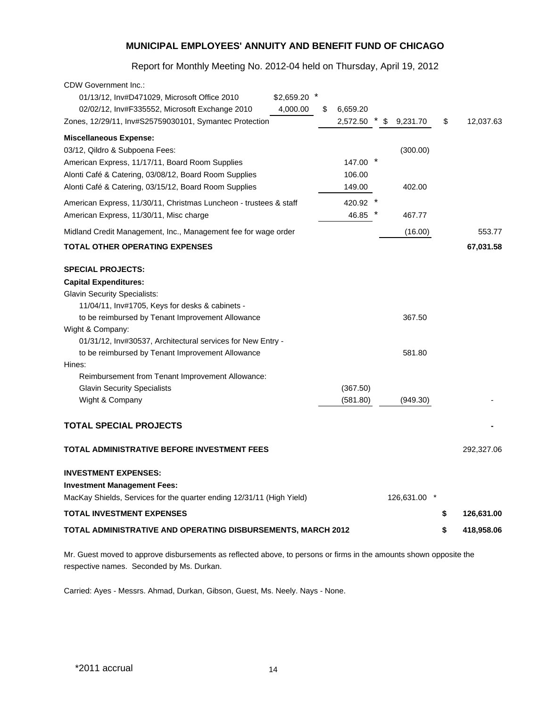Report for Monthly Meeting No. 2012-04 held on Thursday, April 19, 2012

| TOTAL ADMINISTRATIVE AND OPERATING DISBURSEMENTS, MARCH 2012                                                                                                                                                                         |                              |                    | \$ | 418,958.06 |
|--------------------------------------------------------------------------------------------------------------------------------------------------------------------------------------------------------------------------------------|------------------------------|--------------------|----|------------|
| TOTAL INVESTMENT EXPENSES                                                                                                                                                                                                            |                              |                    | S  | 126,631.00 |
| <b>INVESTMENT EXPENSES:</b><br><b>Investment Management Fees:</b><br>MacKay Shields, Services for the quarter ending 12/31/11 (High Yield)                                                                                           |                              | 126,631.00         |    |            |
| TOTAL ADMINISTRATIVE BEFORE INVESTMENT FEES                                                                                                                                                                                          |                              |                    |    | 292,327.06 |
| <b>TOTAL SPECIAL PROJECTS</b>                                                                                                                                                                                                        |                              |                    |    |            |
| Reimbursement from Tenant Improvement Allowance:<br><b>Glavin Security Specialists</b><br>Wight & Company                                                                                                                            | (367.50)<br>(581.80)         | (949.30)           |    |            |
| Wight & Company:<br>01/31/12, Inv#30537, Architectural services for New Entry -<br>to be reimbursed by Tenant Improvement Allowance<br>Hines:                                                                                        |                              | 581.80             |    |            |
| <b>SPECIAL PROJECTS:</b><br><b>Capital Expenditures:</b><br><b>Glavin Security Specialists:</b><br>11/04/11, Inv#1705, Keys for desks & cabinets -<br>to be reimbursed by Tenant Improvement Allowance                               |                              | 367.50             |    |            |
| <b>TOTAL OTHER OPERATING EXPENSES</b>                                                                                                                                                                                                |                              |                    |    | 67,031.58  |
| Midland Credit Management, Inc., Management fee for wage order                                                                                                                                                                       |                              | (16.00)            |    | 553.77     |
| American Express, 11/30/11, Christmas Luncheon - trustees & staff<br>American Express, 11/30/11, Misc charge                                                                                                                         | 420.92<br>46.85              | 467.77             |    |            |
| <b>Miscellaneous Expense:</b><br>03/12, Qildro & Subpoena Fees:<br>American Express, 11/17/11, Board Room Supplies<br>Alonti Café & Catering, 03/08/12, Board Room Supplies<br>Alonti Café & Catering, 03/15/12, Board Room Supplies | 147.00 *<br>106.00<br>149.00 | (300.00)<br>402.00 |    |            |
| Zones, 12/29/11, Inv#S25759030101, Symantec Protection                                                                                                                                                                               | 2,572.50 *                   | 9,231.70<br>S      | \$ | 12,037.63  |
| \$2,659.20<br>01/13/12, Inv#D471029, Microsoft Office 2010<br>02/02/12, Inv#F335552, Microsoft Exchange 2010<br>4,000.00                                                                                                             | \$<br>6,659.20               |                    |    |            |
| <b>CDW Government Inc.:</b>                                                                                                                                                                                                          |                              |                    |    |            |

Mr. Guest moved to approve disbursements as reflected above, to persons or firms in the amounts shown opposite the respective names. Seconded by Ms. Durkan.

Carried: Ayes - Messrs. Ahmad, Durkan, Gibson, Guest, Ms. Neely. Nays - None.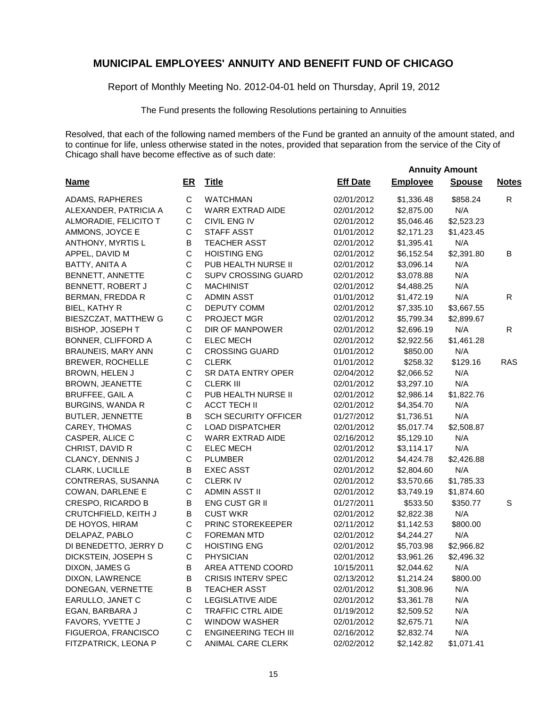Report of Monthly Meeting No. 2012-04-01 held on Thursday, April 19, 2012

The Fund presents the following Resolutions pertaining to Annuities

Resolved, that each of the following named members of the Fund be granted an annuity of the amount stated, and to continue for life, unless otherwise stated in the notes, provided that separation from the service of the City of Chicago shall have become effective as of such date:

 **Annuity Amount**

| <b>Name</b>               | $E$ R        | <b>Title</b>                | <b>Eff Date</b> | <b>Employee</b> | <b>Spouse</b> | <b>Notes</b> |
|---------------------------|--------------|-----------------------------|-----------------|-----------------|---------------|--------------|
| ADAMS, RAPHERES           | $\mathsf{C}$ | <b>WATCHMAN</b>             | 02/01/2012      | \$1,336.48      | \$858.24      | R            |
| ALEXANDER, PATRICIA A     | $\mathsf{C}$ | WARR EXTRAD AIDE            | 02/01/2012      | \$2,875.00      | N/A           |              |
| ALMORADIE, FELICITO T     | C            | CIVIL ENG IV                | 02/01/2012      | \$5,046.46      | \$2,523.23    |              |
| AMMONS, JOYCE E           | $\mathsf C$  | <b>STAFF ASST</b>           | 01/01/2012      | \$2,171.23      | \$1,423.45    |              |
| ANTHONY, MYRTIS L         | $\sf B$      | <b>TEACHER ASST</b>         | 02/01/2012      | \$1,395.41      | N/A           |              |
| APPEL, DAVID M            | $\mathsf{C}$ | <b>HOISTING ENG</b>         | 02/01/2012      | \$6,152.54      | \$2,391.80    | В            |
| BATTY, ANITA A            | $\mathsf C$  | PUB HEALTH NURSE II         | 02/01/2012      | \$3,096.14      | N/A           |              |
| BENNETT, ANNETTE          | $\mathsf C$  | <b>SUPV CROSSING GUARD</b>  | 02/01/2012      | \$3,078.88      | N/A           |              |
| BENNETT, ROBERT J         | $\mathsf C$  | <b>MACHINIST</b>            | 02/01/2012      | \$4,488.25      | N/A           |              |
| BERMAN, FREDDA R          | C            | <b>ADMIN ASST</b>           | 01/01/2012      | \$1,472.19      | N/A           | R            |
| BIEL, KATHY R             | C            | DEPUTY COMM                 | 02/01/2012      | \$7,335.10      | \$3,667.55    |              |
| BIESZCZAT, MATTHEW G      | C            | PROJECT MGR                 | 02/01/2012      | \$5,799.34      | \$2,899.67    |              |
| BISHOP, JOSEPH T          | $\mathsf C$  | DIR OF MANPOWER             | 02/01/2012      | \$2,696.19      | N/A           | R            |
| <b>BONNER, CLIFFORD A</b> | $\mathsf C$  | <b>ELEC MECH</b>            | 02/01/2012      | \$2,922.56      | \$1,461.28    |              |
| BRAUNEIS, MARY ANN        | $\mathsf C$  | <b>CROSSING GUARD</b>       | 01/01/2012      | \$850.00        | N/A           |              |
| <b>BREWER, ROCHELLE</b>   | $\mathsf C$  | <b>CLERK</b>                | 01/01/2012      | \$258.32        | \$129.16      | <b>RAS</b>   |
| BROWN, HELEN J            | $\mathsf C$  | SR DATA ENTRY OPER          | 02/04/2012      | \$2,066.52      | N/A           |              |
| <b>BROWN, JEANETTE</b>    | $\mathsf C$  | <b>CLERK III</b>            | 02/01/2012      | \$3,297.10      | N/A           |              |
| <b>BRUFFEE, GAIL A</b>    | $\mathsf C$  | PUB HEALTH NURSE II         | 02/01/2012      | \$2,986.14      | \$1,822.76    |              |
| <b>BURGINS, WANDA R</b>   | $\mathsf C$  | <b>ACCT TECH II</b>         | 02/01/2012      | \$4,354.70      | N/A           |              |
| <b>BUTLER, JENNETTE</b>   | $\sf B$      | <b>SCH SECURITY OFFICER</b> | 01/27/2012      | \$1,736.51      | N/A           |              |
| CAREY, THOMAS             | $\mathsf C$  | <b>LOAD DISPATCHER</b>      | 02/01/2012      | \$5,017.74      | \$2,508.87    |              |
| CASPER, ALICE C           | $\mathsf{C}$ | WARR EXTRAD AIDE            | 02/16/2012      | \$5,129.10      | N/A           |              |
| CHRIST, DAVID R           | C            | <b>ELEC MECH</b>            | 02/01/2012      | \$3,114.17      | N/A           |              |
| CLANCY, DENNIS J          | $\mathsf C$  | <b>PLUMBER</b>              | 02/01/2012      | \$4,424.78      | \$2,426.88    |              |
| CLARK, LUCILLE            | B            | <b>EXEC ASST</b>            | 02/01/2012      | \$2,804.60      | N/A           |              |
| CONTRERAS, SUSANNA        | $\mathsf C$  | <b>CLERKIV</b>              | 02/01/2012      | \$3,570.66      | \$1,785.33    |              |
| COWAN, DARLENE E          | C            | <b>ADMIN ASST II</b>        | 02/01/2012      | \$3,749.19      | \$1,874.60    |              |
| CRESPO, RICARDO B         | B            | <b>ENG CUST GR II</b>       | 01/27/2011      | \$533.50        | \$350.77      | S            |
| CRUTCHFIELD, KEITH J      | В            | <b>CUST WKR</b>             | 02/01/2012      | \$2,822.38      | N/A           |              |
| DE HOYOS, HIRAM           | C            | PRINC STOREKEEPER           | 02/11/2012      | \$1,142.53      | \$800.00      |              |
| DELAPAZ, PABLO            | C            | <b>FOREMAN MTD</b>          | 02/01/2012      | \$4,244.27      | N/A           |              |
| DI BENEDETTO, JERRY D     | C            | <b>HOISTING ENG</b>         | 02/01/2012      | \$5,703.98      | \$2,966.82    |              |
| DICKSTEIN, JOSEPH S       | $\mathsf C$  | <b>PHYSICIAN</b>            | 02/01/2012      | \$3,961.26      | \$2,496.32    |              |
| DIXON, JAMES G            | B            | AREA ATTEND COORD           | 10/15/2011      | \$2,044.62      | N/A           |              |
| DIXON, LAWRENCE           | $\sf B$      | <b>CRISIS INTERV SPEC</b>   | 02/13/2012      | \$1,214.24      | \$800.00      |              |
| DONEGAN, VERNETTE         | В            | <b>TEACHER ASST</b>         | 02/01/2012      | \$1,308.96      | N/A           |              |
| EARULLO, JANET C          | $\mathsf C$  | <b>LEGISLATIVE AIDE</b>     | 02/01/2012      | \$3,361.78      | N/A           |              |
| EGAN, BARBARA J           | $\mathsf C$  | <b>TRAFFIC CTRL AIDE</b>    | 01/19/2012      | \$2,509.52      | N/A           |              |
| FAVORS, YVETTE J          | $\mathsf{C}$ | WINDOW WASHER               | 02/01/2012      | \$2,675.71      | N/A           |              |
| FIGUEROA, FRANCISCO       | $\mathsf{C}$ | <b>ENGINEERING TECH III</b> | 02/16/2012      | \$2,832.74      | N/A           |              |
| FITZPATRICK, LEONA P      | $\mathbf C$  | ANIMAL CARE CLERK           | 02/02/2012      | \$2,142.82      | \$1,071.41    |              |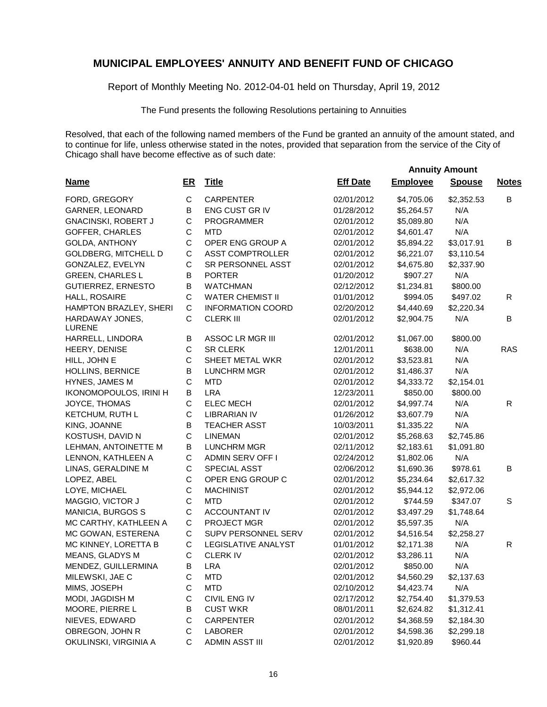Report of Monthly Meeting No. 2012-04-01 held on Thursday, April 19, 2012

The Fund presents the following Resolutions pertaining to Annuities

Resolved, that each of the following named members of the Fund be granted an annuity of the amount stated, and to continue for life, unless otherwise stated in the notes, provided that separation from the service of the City of Chicago shall have become effective as of such date:

 **Annuity Amount**

| <b>Name</b>                 | $E$ R       | <b>Title</b>             | <b>Eff Date</b> | <b>Employee</b> | <b>Spouse</b> | <b>Notes</b> |
|-----------------------------|-------------|--------------------------|-----------------|-----------------|---------------|--------------|
| FORD, GREGORY               | $\mathsf C$ | <b>CARPENTER</b>         | 02/01/2012      | \$4,705.06      | \$2,352.53    | B            |
| GARNER, LEONARD             | B           | ENG CUST GR IV           | 01/28/2012      | \$5,264.57      | N/A           |              |
| <b>GNACINSKI, ROBERT J</b>  | $\mathsf C$ | <b>PROGRAMMER</b>        | 02/01/2012      | \$5,089.80      | N/A           |              |
| GOFFER, CHARLES             | С           | <b>MTD</b>               | 02/01/2012      | \$4,601.47      | N/A           |              |
| <b>GOLDA, ANTHONY</b>       | C           | OPER ENG GROUP A         | 02/01/2012      | \$5,894.22      | \$3,017.91    | B            |
| <b>GOLDBERG, MITCHELL D</b> | $\mathsf C$ | <b>ASST COMPTROLLER</b>  | 02/01/2012      | \$6,221.07      | \$3,110.54    |              |
| GONZALEZ, EVELYN            | $\mathsf C$ | SR PERSONNEL ASST        | 02/01/2012      | \$4,675.80      | \$2,337.90    |              |
| <b>GREEN, CHARLES L</b>     | B           | <b>PORTER</b>            | 01/20/2012      | \$907.27        | N/A           |              |
| <b>GUTIERREZ, ERNESTO</b>   | B           | <b>WATCHMAN</b>          | 02/12/2012      | \$1,234.81      | \$800.00      |              |
| HALL, ROSAIRE               | $\mathsf C$ | <b>WATER CHEMIST II</b>  | 01/01/2012      | \$994.05        | \$497.02      | $\mathsf{R}$ |
| HAMPTON BRAZLEY, SHERI      | $\mathsf C$ | <b>INFORMATION COORD</b> | 02/20/2012      | \$4,440.69      | \$2,220.34    |              |
| HARDAWAY JONES,<br>LURENE   | C           | <b>CLERK III</b>         | 02/01/2012      | \$2,904.75      | N/A           | В            |
| HARRELL, LINDORA            | B           | ASSOC LR MGR III         | 02/01/2012      | \$1,067.00      | \$800.00      |              |
| HEERY, DENISE               | C           | <b>SR CLERK</b>          | 12/01/2011      | \$638.00        | N/A           | <b>RAS</b>   |
| HILL, JOHN E                | С           | SHEET METAL WKR          | 02/01/2012      | \$3,523.81      | N/A           |              |
| HOLLINS, BERNICE            | B           | <b>LUNCHRM MGR</b>       | 02/01/2012      | \$1,486.37      | N/A           |              |
| HYNES, JAMES M              | $\mathsf C$ | <b>MTD</b>               | 02/01/2012      | \$4,333.72      | \$2,154.01    |              |
| IKONOMOPOULOS, IRINI H      | В           | <b>LRA</b>               | 12/23/2011      | \$850.00        | \$800.00      |              |
| JOYCE, THOMAS               | C           | <b>ELEC MECH</b>         | 02/01/2012      | \$4,997.74      | N/A           | R            |
| KETCHUM, RUTH L             | C           | <b>LIBRARIAN IV</b>      | 01/26/2012      | \$3,607.79      | N/A           |              |
| KING, JOANNE                | B           | <b>TEACHER ASST</b>      | 10/03/2011      | \$1,335.22      | N/A           |              |
| KOSTUSH, DAVID N            | $\mathsf C$ | <b>LINEMAN</b>           | 02/01/2012      | \$5,268.63      | \$2,745.86    |              |
| LEHMAN, ANTOINETTE M        | B           | <b>LUNCHRM MGR</b>       | 02/11/2012      | \$2,183.61      | \$1,091.80    |              |
| LENNON, KATHLEEN A          | C           | ADMIN SERV OFF I         | 02/24/2012      | \$1,802.06      | N/A           |              |
| LINAS, GERALDINE M          | C           | SPECIAL ASST             | 02/06/2012      | \$1,690.36      | \$978.61      | B            |
| LOPEZ, ABEL                 | $\mathsf C$ | OPER ENG GROUP C         | 02/01/2012      | \$5,234.64      | \$2,617.32    |              |
| LOYE, MICHAEL               | C           | <b>MACHINIST</b>         | 02/01/2012      | \$5,944.12      | \$2,972.06    |              |
| MAGGIO, VICTOR J            | C           | <b>MTD</b>               | 02/01/2012      | \$744.59        | \$347.07      | S            |
| MANICIA, BURGOS S           | $\mathsf C$ | <b>ACCOUNTANT IV</b>     | 02/01/2012      | \$3,497.29      | \$1,748.64    |              |
| MC CARTHY, KATHLEEN A       | С           | PROJECT MGR              | 02/01/2012      | \$5,597.35      | N/A           |              |
| MC GOWAN, ESTERENA          | С           | SUPV PERSONNEL SERV      | 02/01/2012      | \$4,516.54      | \$2,258.27    |              |
| MC KINNEY, LORETTA B        | С           | LEGISLATIVE ANALYST      | 01/01/2012      | \$2,171.38      | N/A           | R            |
| MEANS, GLADYS M             | C           | <b>CLERKIV</b>           | 02/01/2012      | \$3,286.11      | N/A           |              |
| MENDEZ, GUILLERMINA         | B           | <b>LRA</b>               | 02/01/2012      | \$850.00        | N/A           |              |
| MILEWSKI, JAE C             | С           | MTD                      | 02/01/2012      | \$4,560.29      | \$2,137.63    |              |
| MIMS, JOSEPH                | C           | <b>MTD</b>               | 02/10/2012      | \$4,423.74      | N/A           |              |
| MODI, JAGDISH M             | С           | CIVIL ENG IV             | 02/17/2012      | \$2,754.40      | \$1,379.53    |              |
| MOORE, PIERRE L             | B           | <b>CUST WKR</b>          | 08/01/2011      | \$2,624.82      | \$1,312.41    |              |
| NIEVES, EDWARD              | С           | <b>CARPENTER</b>         | 02/01/2012      | \$4,368.59      | \$2,184.30    |              |
| OBREGON, JOHN R             | С           | LABORER                  | 02/01/2012      | \$4,598.36      | \$2,299.18    |              |
| OKULINSKI, VIRGINIA A       | C           | ADMIN ASST III           | 02/01/2012      | \$1,920.89      | \$960.44      |              |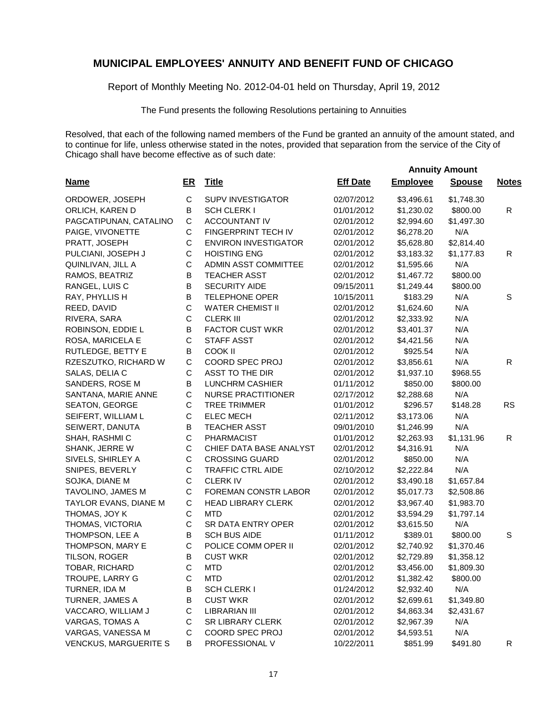Report of Monthly Meeting No. 2012-04-01 held on Thursday, April 19, 2012

The Fund presents the following Resolutions pertaining to Annuities

Resolved, that each of the following named members of the Fund be granted an annuity of the amount stated, and to continue for life, unless otherwise stated in the notes, provided that separation from the service of the City of Chicago shall have become effective as of such date:

 **Annuity Amount**

| <b>Name</b>                  | $E$ R        | <b>Title</b>                | <b>Eff Date</b> | <b>Employee</b> | <b>Spouse</b> | <b>Notes</b> |
|------------------------------|--------------|-----------------------------|-----------------|-----------------|---------------|--------------|
| ORDOWER, JOSEPH              | $\mathsf C$  | <b>SUPV INVESTIGATOR</b>    | 02/07/2012      | \$3,496.61      | \$1,748.30    |              |
| ORLICH, KAREN D              | B            | <b>SCH CLERK I</b>          | 01/01/2012      | \$1,230.02      | \$800.00      | R            |
| PAGCATIPUNAN, CATALINO       | $\mathsf C$  | ACCOUNTANT IV               | 02/01/2012      | \$2,994.60      | \$1,497.30    |              |
| PAIGE, VIVONETTE             | $\mathsf C$  | FINGERPRINT TECH IV         | 02/01/2012      | \$6,278.20      | N/A           |              |
| PRATT, JOSEPH                | C            | <b>ENVIRON INVESTIGATOR</b> | 02/01/2012      | \$5,628.80      | \$2,814.40    |              |
| PULCIANI, JOSEPH J           | C            | <b>HOISTING ENG</b>         | 02/01/2012      | \$3,183.32      | \$1,177.83    | R            |
| QUINLIVAN, JILL A            | $\mathsf C$  | ADMIN ASST COMMITTEE        | 02/01/2012      | \$1,595.66      | N/A           |              |
| RAMOS, BEATRIZ               | B            | <b>TEACHER ASST</b>         | 02/01/2012      | \$1,467.72      | \$800.00      |              |
| RANGEL, LUIS C               | $\sf B$      | <b>SECURITY AIDE</b>        | 09/15/2011      | \$1,249.44      | \$800.00      |              |
| RAY, PHYLLIS H               | $\sf B$      | <b>TELEPHONE OPER</b>       | 10/15/2011      | \$183.29        | N/A           | S            |
| REED, DAVID                  | $\mathsf C$  | <b>WATER CHEMIST II</b>     | 02/01/2012      | \$1,624.60      | N/A           |              |
| RIVERA, SARA                 | $\mathsf C$  | <b>CLERK III</b>            | 02/01/2012      | \$2,333.92      | N/A           |              |
| ROBINSON, EDDIE L            | $\sf B$      | <b>FACTOR CUST WKR</b>      | 02/01/2012      | \$3,401.37      | N/A           |              |
| ROSA, MARICELA E             | $\mathsf C$  | <b>STAFF ASST</b>           | 02/01/2012      | \$4,421.56      | N/A           |              |
| RUTLEDGE, BETTY E            | B            | <b>COOK II</b>              | 02/01/2012      | \$925.54        | N/A           |              |
| RZESZUTKO, RICHARD W         | $\mathsf C$  | COORD SPEC PROJ             | 02/01/2012      | \$3,856.61      | N/A           | R            |
| SALAS, DELIA C               | C            | ASST TO THE DIR             | 02/01/2012      | \$1,937.10      | \$968.55      |              |
| SANDERS, ROSE M              | B            | LUNCHRM CASHIER             | 01/11/2012      | \$850.00        | \$800.00      |              |
| SANTANA, MARIE ANNE          | $\mathsf C$  | <b>NURSE PRACTITIONER</b>   | 02/17/2012      | \$2,288.68      | N/A           |              |
| <b>SEATON, GEORGE</b>        | C            | TREE TRIMMER                | 01/01/2012      | \$296.57        | \$148.28      | <b>RS</b>    |
| SEIFERT, WILLIAM L           | C            | <b>ELEC MECH</b>            | 02/11/2012      | \$3,173.06      | N/A           |              |
| SEIWERT, DANUTA              | B            | <b>TEACHER ASST</b>         | 09/01/2010      | \$1,246.99      | N/A           |              |
| SHAH, RASHMIC                | $\mathsf C$  | <b>PHARMACIST</b>           | 01/01/2012      | \$2,263.93      | \$1,131.96    | R            |
| SHANK, JERRE W               | C            | CHIEF DATA BASE ANALYST     | 02/01/2012      | \$4,316.91      | N/A           |              |
| SIVELS, SHIRLEY A            | C            | <b>CROSSING GUARD</b>       | 02/01/2012      | \$850.00        | N/A           |              |
| SNIPES, BEVERLY              | C            | TRAFFIC CTRL AIDE           | 02/10/2012      | \$2,222.84      | N/A           |              |
| SOJKA, DIANE M               | C            | <b>CLERK IV</b>             | 02/01/2012      | \$3,490.18      | \$1,657.84    |              |
| TAVOLINO, JAMES M            | C            | FOREMAN CONSTR LABOR        | 02/01/2012      | \$5,017.73      | \$2,508.86    |              |
| TAYLOR EVANS, DIANE M        | $\mathsf C$  | <b>HEAD LIBRARY CLERK</b>   | 02/01/2012      | \$3,967.40      | \$1,983.70    |              |
| THOMAS, JOY K                | C            | <b>MTD</b>                  | 02/01/2012      | \$3,594.29      | \$1,797.14    |              |
| THOMAS, VICTORIA             | C            | SR DATA ENTRY OPER          | 02/01/2012      | \$3,615.50      | N/A           |              |
| THOMPSON, LEE A              | B            | <b>SCH BUS AIDE</b>         | 01/11/2012      | \$389.01        | \$800.00      | S            |
| THOMPSON, MARY E             | $\mathsf{C}$ | POLICE COMM OPER II         | 02/01/2012      | \$2,740.92      | \$1,370.46    |              |
| TILSON, ROGER                | В            | <b>CUST WKR</b>             | 02/01/2012      | \$2,729.89      | \$1,358.12    |              |
| TOBAR, RICHARD               | $\mathsf C$  | <b>MTD</b>                  | 02/01/2012      | \$3,456.00      | \$1,809.30    |              |
| TROUPE, LARRY G              | C            | MTD                         | 02/01/2012      | \$1,382.42      | \$800.00      |              |
| TURNER, IDA M                | B            | <b>SCH CLERK I</b>          | 01/24/2012      | \$2,932.40      | N/A           |              |
| TURNER, JAMES A              | B            | <b>CUST WKR</b>             | 02/01/2012      | \$2,699.61      | \$1,349.80    |              |
| VACCARO, WILLIAM J           | C            | LIBRARIAN III               | 02/01/2012      | \$4,863.34      | \$2,431.67    |              |
| VARGAS, TOMAS A              | C            | <b>SR LIBRARY CLERK</b>     | 02/01/2012      | \$2,967.39      | N/A           |              |
| VARGAS, VANESSA M            | C            | COORD SPEC PROJ             | 02/01/2012      | \$4,593.51      | N/A           |              |
| <b>VENCKUS, MARGUERITE S</b> | B            | PROFESSIONAL V              | 10/22/2011      | \$851.99        | \$491.80      | R            |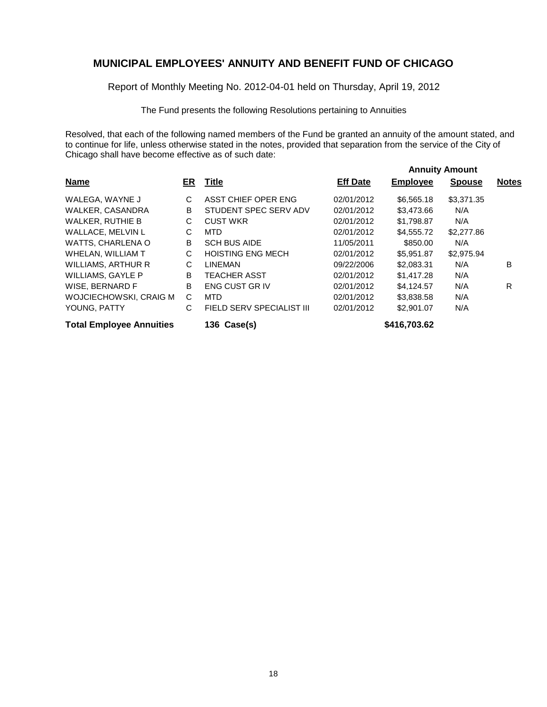Report of Monthly Meeting No. 2012-04-01 held on Thursday, April 19, 2012

The Fund presents the following Resolutions pertaining to Annuities

Resolved, that each of the following named members of the Fund be granted an annuity of the amount stated, and to continue for life, unless otherwise stated in the notes, provided that separation from the service of the City of Chicago shall have become effective as of such date:

|                                 |    |                           |                 | <b>Annuity Amount</b> |               |              |
|---------------------------------|----|---------------------------|-----------------|-----------------------|---------------|--------------|
| <b>Name</b>                     | ER | <b>Title</b>              | <b>Eff Date</b> | <b>Employee</b>       | <b>Spouse</b> | <b>Notes</b> |
| WALEGA, WAYNE J                 | C  | ASST CHIEF OPER ENG       | 02/01/2012      | \$6,565.18            | \$3,371.35    |              |
| WALKER, CASANDRA                | B  | STUDENT SPEC SERV ADV     | 02/01/2012      | \$3,473.66            | N/A           |              |
| <b>WALKER, RUTHIE B</b>         | C  | <b>CUST WKR</b>           | 02/01/2012      | \$1,798.87            | N/A           |              |
| WALLACE, MELVIN L               | C  | MTD                       | 02/01/2012      | \$4,555.72            | \$2,277.86    |              |
| WATTS, CHARLENA O               | B  | <b>SCH BUS AIDE</b>       | 11/05/2011      | \$850.00              | N/A           |              |
| WHELAN, WILLIAM T               | C  | <b>HOISTING ENG MECH</b>  | 02/01/2012      | \$5,951.87            | \$2,975.94    |              |
| <b>WILLIAMS, ARTHUR R</b>       | C  | <b>LINEMAN</b>            | 09/22/2006      | \$2,083,31            | N/A           | B            |
| WILLIAMS, GAYLE P               | B  | <b>TEACHER ASST</b>       | 02/01/2012      | \$1,417.28            | N/A           |              |
| WISE, BERNARD F                 | B  | <b>ENG CUST GR IV</b>     | 02/01/2012      | \$4.124.57            | N/A           | R            |
| WOJCIECHOWSKI, CRAIG M          | C  | <b>MTD</b>                | 02/01/2012      | \$3,838.58            | N/A           |              |
| YOUNG, PATTY                    | C  | FIELD SERV SPECIALIST III | 02/01/2012      | \$2,901.07            | N/A           |              |
| <b>Total Employee Annuities</b> |    | 136 Case(s)               |                 | \$416,703.62          |               |              |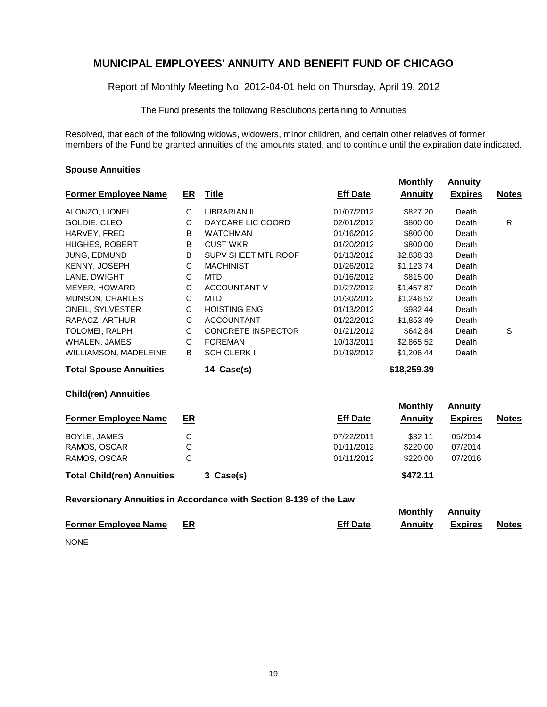Report of Monthly Meeting No. 2012-04-01 held on Thursday, April 19, 2012

The Fund presents the following Resolutions pertaining to Annuities

Resolved, that each of the following widows, widowers, minor children, and certain other relatives of former members of the Fund be granted annuities of the amounts stated, and to continue until the expiration date indicated.

#### **Spouse Annuities**

|                                                                    |              |                            |                 | <b>Monthly</b> | <b>Annuity</b> |              |  |
|--------------------------------------------------------------------|--------------|----------------------------|-----------------|----------------|----------------|--------------|--|
| <b>Former Employee Name</b>                                        | ER           | <b>Title</b>               | <b>Eff Date</b> | <b>Annuity</b> | <b>Expires</b> | <b>Notes</b> |  |
| ALONZO, LIONEL                                                     | C            | LIBRARIAN II               | 01/07/2012      | \$827.20       | Death          |              |  |
| GOLDIE, CLEO                                                       | C            | DAYCARE LIC COORD          | 02/01/2012      | \$800.00       | Death          | R            |  |
| HARVEY, FRED                                                       | B            | <b>WATCHMAN</b>            | 01/16/2012      | \$800.00       | Death          |              |  |
| HUGHES, ROBERT                                                     | B            | <b>CUST WKR</b>            | 01/20/2012      | \$800.00       | Death          |              |  |
| JUNG, EDMUND                                                       | B            | <b>SUPV SHEET MTL ROOF</b> | 01/13/2012      | \$2,838.33     | Death          |              |  |
| KENNY, JOSEPH                                                      | C            | <b>MACHINIST</b>           | 01/26/2012      | \$1,123.74     | Death          |              |  |
| LANE, DWIGHT                                                       | C            | <b>MTD</b>                 | 01/16/2012      | \$815.00       | Death          |              |  |
| MEYER, HOWARD                                                      | C            | <b>ACCOUNTANT V</b>        | 01/27/2012      | \$1,457.87     | Death          |              |  |
| MUNSON, CHARLES                                                    | С            | <b>MTD</b>                 | 01/30/2012      | \$1,246.52     | Death          |              |  |
| <b>ONEIL, SYLVESTER</b>                                            | C            | <b>HOISTING ENG</b>        | 01/13/2012      | \$982.44       | Death          |              |  |
| RAPACZ, ARTHUR                                                     | C            | <b>ACCOUNTANT</b>          | 01/22/2012      | \$1,853.49     | Death          |              |  |
| TOLOMEI, RALPH                                                     | C            | <b>CONCRETE INSPECTOR</b>  | 01/21/2012      | \$642.84       | Death          | S            |  |
| <b>WHALEN, JAMES</b>                                               | С            | <b>FOREMAN</b>             | 10/13/2011      | \$2,865.52     | Death          |              |  |
| WILLIAMSON, MADELEINE                                              | B            | <b>SCH CLERK I</b>         | 01/19/2012      | \$1,206.44     | Death          |              |  |
| <b>Total Spouse Annuities</b>                                      |              | 14 Case(s)                 |                 | \$18,259.39    |                |              |  |
| <b>Child(ren) Annuities</b>                                        |              |                            |                 |                |                |              |  |
|                                                                    |              |                            |                 | <b>Monthly</b> | <b>Annuity</b> |              |  |
| <b>Former Employee Name</b>                                        | ER           |                            | <b>Eff Date</b> | <b>Annuity</b> | <b>Expires</b> | <b>Notes</b> |  |
| BOYLE, JAMES                                                       | C            |                            | 07/22/2011      | \$32.11        | 05/2014        |              |  |
| RAMOS, OSCAR                                                       | C            |                            | 01/11/2012      | \$220.00       | 07/2014        |              |  |
| RAMOS, OSCAR                                                       | $\mathsf{C}$ |                            | 01/11/2012      | \$220.00       | 07/2016        |              |  |
| <b>Total Child(ren) Annuities</b>                                  |              | 3 Case(s)                  |                 | \$472.11       |                |              |  |
| Reversionary Annuities in Accordance with Section 8-139 of the Law |              |                            |                 |                |                |              |  |
|                                                                    |              |                            |                 | Monthly        | Annuity        |              |  |

|                                |                 | <b>MONTHLY ANNUITY</b>       |  |
|--------------------------------|-----------------|------------------------------|--|
| <b>Former Employee Name ER</b> | <b>Eff Date</b> | <b>Annuity Expires Notes</b> |  |

NONE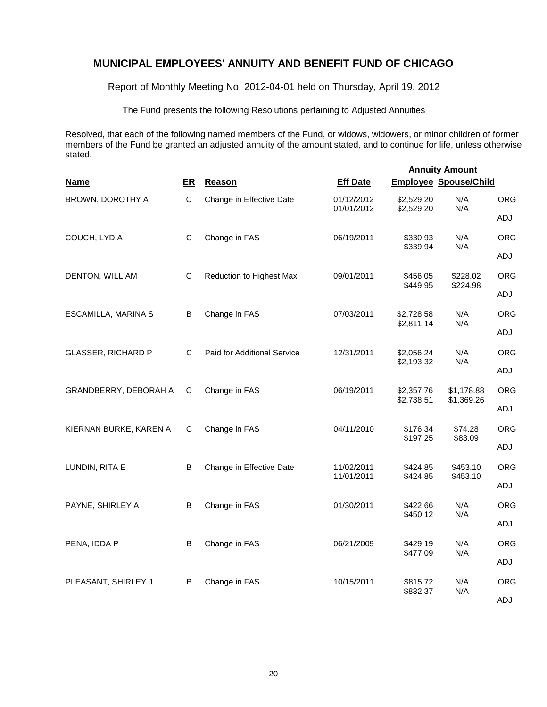Report of Monthly Meeting No. 2012-04-01 held on Thursday, April 19, 2012

The Fund presents the following Resolutions pertaining to Adjusted Annuities

Resolved, that each of the following named members of the Fund, or widows, widowers, or minor children of former members of the Fund be granted an adjusted annuity of the amount stated, and to continue for life, unless otherwise stated.

| <b>Name</b>               | ER           | Reason                      | <b>Eff Date</b>          | <b>Employee Spouse/Child</b> | <b>Annuity Amount</b>    |            |
|---------------------------|--------------|-----------------------------|--------------------------|------------------------------|--------------------------|------------|
| BROWN, DOROTHY A          | $\mathsf{C}$ | Change in Effective Date    | 01/12/2012<br>01/01/2012 | \$2,529.20                   | N/A<br>N/A               | <b>ORG</b> |
|                           |              |                             |                          | \$2,529.20                   |                          | ADJ        |
| COUCH, LYDIA              | C            | Change in FAS               | 06/19/2011               | \$330.93<br>\$339.94         | N/A<br>N/A               | <b>ORG</b> |
|                           |              |                             |                          |                              |                          | ADJ        |
| DENTON, WILLIAM           | C            | Reduction to Highest Max    | 09/01/2011               | \$456.05                     | \$228.02                 | <b>ORG</b> |
|                           |              |                             |                          | \$449.95                     | \$224.98                 | ADJ        |
| ESCAMILLA, MARINA S       | B            | Change in FAS               | 07/03/2011               | \$2,728.58                   | N/A                      | ORG        |
|                           |              |                             |                          | \$2,811.14                   | N/A                      | ADJ        |
| <b>GLASSER, RICHARD P</b> | C            | Paid for Additional Service | 12/31/2011               | \$2,056.24                   | N/A                      | <b>ORG</b> |
|                           |              |                             |                          | \$2,193.32                   | N/A                      | ADJ        |
| GRANDBERRY, DEBORAH A     | С            | Change in FAS               | 06/19/2011               | \$2,357.76<br>\$2,738.51     | \$1,178.88<br>\$1,369.26 | <b>ORG</b> |
|                           |              |                             |                          |                              |                          | ADJ        |
| KIERNAN BURKE, KAREN A    | C            | Change in FAS               | 04/11/2010               | \$176.34<br>\$197.25         | \$74.28<br>\$83.09       | <b>ORG</b> |
|                           |              |                             |                          |                              |                          | ADJ        |
| LUNDIN, RITA E            | B            | Change in Effective Date    | 11/02/2011<br>11/01/2011 | \$424.85<br>\$424.85         | \$453.10<br>\$453.10     | <b>ORG</b> |
|                           |              |                             |                          |                              |                          | ADJ        |
| PAYNE, SHIRLEY A          | B            | Change in FAS               | 01/30/2011               | \$422.66<br>\$450.12         | N/A<br>N/A               | <b>ORG</b> |
|                           |              |                             |                          |                              |                          | ADJ        |
| PENA, IDDA P              | B            | Change in FAS               | 06/21/2009               | \$429.19<br>\$477.09         | N/A<br>N/A               | <b>ORG</b> |
|                           |              |                             |                          |                              |                          | ADJ        |
| PLEASANT, SHIRLEY J       | B            | Change in FAS               | 10/15/2011               | \$815.72                     | N/A                      | <b>ORG</b> |
|                           |              |                             |                          | \$832.37                     | N/A                      | ADJ        |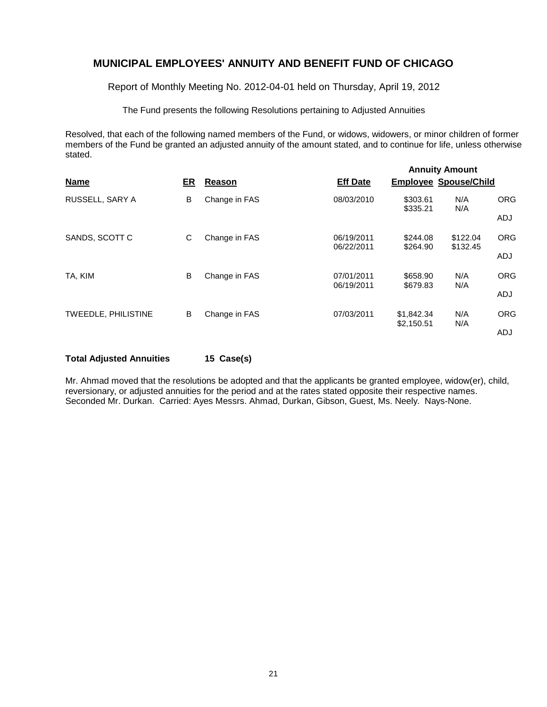Report of Monthly Meeting No. 2012-04-01 held on Thursday, April 19, 2012

The Fund presents the following Resolutions pertaining to Adjusted Annuities

Resolved, that each of the following named members of the Fund, or widows, widowers, or minor children of former members of the Fund be granted an adjusted annuity of the amount stated, and to continue for life, unless otherwise stated.

| <b>Name</b>                | ER | Reason        | <b>Eff Date</b>          |                          | <b>Annuity Amount</b><br><b>Employee Spouse/Child</b> |                          |
|----------------------------|----|---------------|--------------------------|--------------------------|-------------------------------------------------------|--------------------------|
| RUSSELL, SARY A            | B  | Change in FAS | 08/03/2010               | \$303.61<br>\$335.21     | N/A<br>N/A                                            | <b>ORG</b><br><b>ADJ</b> |
| SANDS, SCOTT C             | С  | Change in FAS | 06/19/2011<br>06/22/2011 | \$244.08<br>\$264.90     | \$122.04<br>\$132.45                                  | <b>ORG</b><br><b>ADJ</b> |
| TA, KIM                    | B  | Change in FAS | 07/01/2011<br>06/19/2011 | \$658.90<br>\$679.83     | N/A<br>N/A                                            | <b>ORG</b><br><b>ADJ</b> |
| <b>TWEEDLE, PHILISTINE</b> | B  | Change in FAS | 07/03/2011               | \$1,842.34<br>\$2,150.51 | N/A<br>N/A                                            | <b>ORG</b><br><b>ADJ</b> |

#### **Total Adjusted Annuities 15 Case(s)**

Mr. Ahmad moved that the resolutions be adopted and that the applicants be granted employee, widow(er), child, reversionary, or adjusted annuities for the period and at the rates stated opposite their respective names. Seconded Mr. Durkan. Carried: Ayes Messrs. Ahmad, Durkan, Gibson, Guest, Ms. Neely. Nays-None.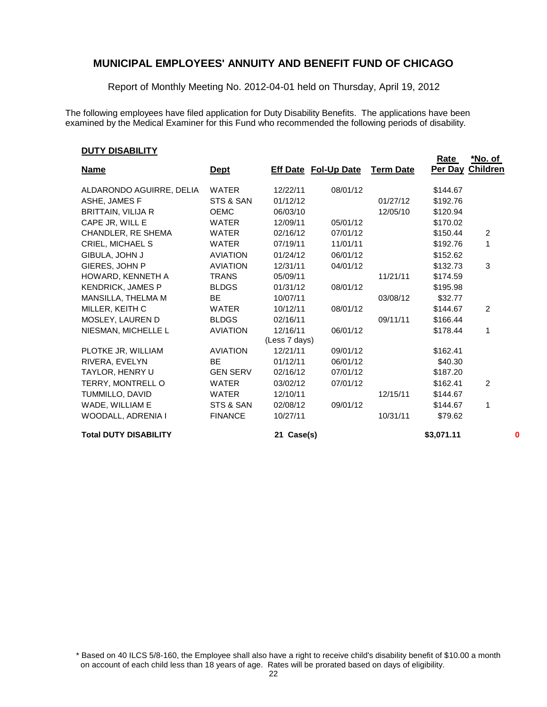Report of Monthly Meeting No. 2012-04-01 held on Thursday, April 19, 2012

The following employees have filed application for Duty Disability Benefits. The applications have been examined by the Medical Examiner for this Fund who recommended the following periods of disability.

#### **DUTY DISABILITY**

|                              |                 |                             |          |                  | <b>Rate</b>      | <u>*No. of</u> |   |
|------------------------------|-----------------|-----------------------------|----------|------------------|------------------|----------------|---|
| <b>Name</b>                  | <u>Dept</u>     | <b>Eff Date Fol-Up Date</b> |          | <b>Term Date</b> | Per Day Children |                |   |
| ALDARONDO AGUIRRE, DELIA     | <b>WATER</b>    | 12/22/11                    | 08/01/12 |                  | \$144.67         |                |   |
| ASHE, JAMES F                | STS & SAN       | 01/12/12                    |          | 01/27/12         | \$192.76         |                |   |
| <b>BRITTAIN, VILIJA R</b>    | <b>OEMC</b>     | 06/03/10                    |          | 12/05/10         | \$120.94         |                |   |
| CAPE JR, WILL E              | <b>WATER</b>    | 12/09/11                    | 05/01/12 |                  | \$170.02         |                |   |
| CHANDLER, RE SHEMA           | <b>WATER</b>    | 02/16/12                    | 07/01/12 |                  | \$150.44         | $\overline{2}$ |   |
| CRIEL, MICHAEL S             | <b>WATER</b>    | 07/19/11                    | 11/01/11 |                  | \$192.76         | 1              |   |
| <b>GIBULA, JOHN J</b>        | <b>AVIATION</b> | 01/24/12                    | 06/01/12 |                  | \$152.62         |                |   |
| GIERES, JOHN P               | <b>AVIATION</b> | 12/31/11                    | 04/01/12 |                  | \$132.73         | 3              |   |
| HOWARD, KENNETH A            | <b>TRANS</b>    | 05/09/11                    |          | 11/21/11         | \$174.59         |                |   |
| <b>KENDRICK, JAMES P</b>     | <b>BLDGS</b>    | 01/31/12                    | 08/01/12 |                  | \$195.98         |                |   |
| MANSILLA, THELMA M           | <b>BE</b>       | 10/07/11                    |          | 03/08/12         | \$32.77          |                |   |
| MILLER, KEITH C              | <b>WATER</b>    | 10/12/11                    | 08/01/12 |                  | \$144.67         | 2              |   |
| MOSLEY, LAUREN D             | <b>BLDGS</b>    | 02/16/11                    |          | 09/11/11         | \$166.44         |                |   |
| NIESMAN, MICHELLE L          | <b>AVIATION</b> | 12/16/11                    | 06/01/12 |                  | \$178.44         | 1              |   |
|                              |                 | (Less 7 days)               |          |                  |                  |                |   |
| PLOTKE JR, WILLIAM           | <b>AVIATION</b> | 12/21/11                    | 09/01/12 |                  | \$162.41         |                |   |
| RIVERA, EVELYN               | <b>BE</b>       | 01/12/11                    | 06/01/12 |                  | \$40.30          |                |   |
| TAYLOR, HENRY U              | <b>GEN SERV</b> | 02/16/12                    | 07/01/12 |                  | \$187.20         |                |   |
| TERRY, MONTRELL O            | <b>WATER</b>    | 03/02/12                    | 07/01/12 |                  | \$162.41         | $\overline{2}$ |   |
| TUMMILLO, DAVID              | <b>WATER</b>    | 12/10/11                    |          | 12/15/11         | \$144.67         |                |   |
| WADE, WILLIAM E              | STS & SAN       | 02/08/12                    | 09/01/12 |                  | \$144.67         | 1              |   |
| WOODALL, ADRENIA I           | <b>FINANCE</b>  | 10/27/11                    |          | 10/31/11         | \$79.62          |                |   |
| <b>Total DUTY DISABILITY</b> |                 | 21 Case(s)                  |          |                  | \$3,071.11       |                | 0 |

\* Based on 40 ILCS 5/8-160, the Employee shall also have a right to receive child's disability benefit of \$10.00 a month on account of each child less than 18 years of age. Rates will be prorated based on days of eligibility.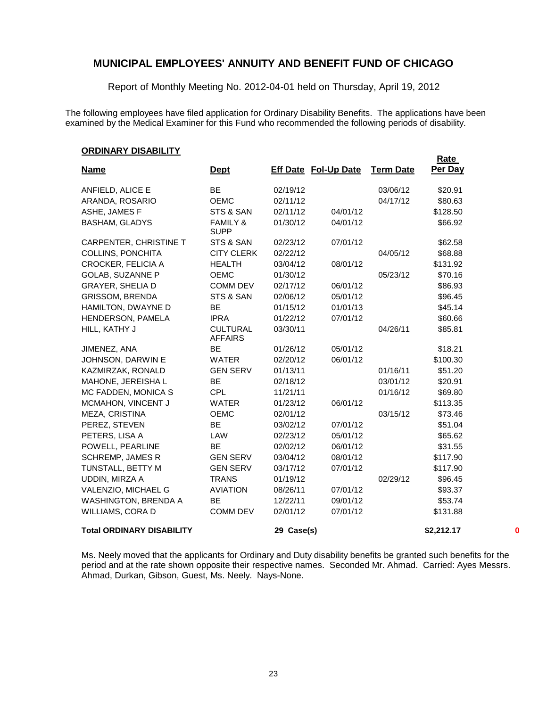Report of Monthly Meeting No. 2012-04-01 held on Thursday, April 19, 2012

The following employees have filed application for Ordinary Disability Benefits. The applications have been examined by the Medical Examiner for this Fund who recommended the following periods of disability.

**Rate** 

#### **ORDINARY DISABILITY**

| <u>Name</u>                      | <u>Dept</u>                        |            | <b>Eff Date Fol-Up Date</b> | <b>Term Date</b> | <u>nale</u><br>Per Day |   |
|----------------------------------|------------------------------------|------------|-----------------------------|------------------|------------------------|---|
| ANFIELD, ALICE E                 | BE                                 | 02/19/12   |                             | 03/06/12         | \$20.91                |   |
| ARANDA, ROSARIO                  | <b>OEMC</b>                        | 02/11/12   |                             | 04/17/12         | \$80.63                |   |
| ASHE, JAMES F                    | STS & SAN                          | 02/11/12   | 04/01/12                    |                  | \$128.50               |   |
| <b>BASHAM, GLADYS</b>            | <b>FAMILY &amp;</b><br><b>SUPP</b> | 01/30/12   | 04/01/12                    |                  | \$66.92                |   |
| CARPENTER, CHRISTINE T           | STS & SAN                          | 02/23/12   | 07/01/12                    |                  | \$62.58                |   |
| <b>COLLINS, PONCHITA</b>         | <b>CITY CLERK</b>                  | 02/22/12   |                             | 04/05/12         | \$68.88                |   |
| <b>CROCKER, FELICIA A</b>        | <b>HEALTH</b>                      | 03/04/12   | 08/01/12                    |                  | \$131.92               |   |
| GOLAB, SUZANNE P                 | OEMC                               | 01/30/12   |                             | 05/23/12         | \$70.16                |   |
| <b>GRAYER, SHELIA D</b>          | <b>COMM DEV</b>                    | 02/17/12   | 06/01/12                    |                  | \$86.93                |   |
| <b>GRISSOM, BRENDA</b>           | STS & SAN                          | 02/06/12   | 05/01/12                    |                  | \$96.45                |   |
| HAMILTON, DWAYNE D               | <b>BE</b>                          | 01/15/12   | 01/01/13                    |                  | \$45.14                |   |
| HENDERSON, PAMELA                | <b>IPRA</b>                        | 01/22/12   | 07/01/12                    |                  | \$60.66                |   |
| HILL, KATHY J                    | <b>CULTURAL</b><br><b>AFFAIRS</b>  | 03/30/11   |                             | 04/26/11         | \$85.81                |   |
| JIMENEZ, ANA                     | BE                                 | 01/26/12   | 05/01/12                    |                  | \$18.21                |   |
| JOHNSON, DARWIN E                | WATER                              | 02/20/12   | 06/01/12                    |                  | \$100.30               |   |
| KAZMIRZAK, RONALD                | <b>GEN SERV</b>                    | 01/13/11   |                             | 01/16/11         | \$51.20                |   |
| <b>MAHONE, JEREISHA L</b>        | BE.                                | 02/18/12   |                             | 03/01/12         | \$20.91                |   |
| MC FADDEN, MONICA S              | <b>CPL</b>                         | 11/21/11   |                             | 01/16/12         | \$69.80                |   |
| MCMAHON, VINCENT J               | <b>WATER</b>                       | 01/23/12   | 06/01/12                    |                  | \$113.35               |   |
| MEZA, CRISTINA                   | <b>OEMC</b>                        | 02/01/12   |                             | 03/15/12         | \$73.46                |   |
| PEREZ, STEVEN                    | <b>BE</b>                          | 03/02/12   | 07/01/12                    |                  | \$51.04                |   |
| PETERS, LISA A                   | LAW                                | 02/23/12   | 05/01/12                    |                  | \$65.62                |   |
| POWELL, PEARLINE                 | <b>BE</b>                          | 02/02/12   | 06/01/12                    |                  | \$31.55                |   |
| <b>SCHREMP, JAMES R</b>          | <b>GEN SERV</b>                    | 03/04/12   | 08/01/12                    |                  | \$117.90               |   |
| TUNSTALL, BETTY M                | <b>GEN SERV</b>                    | 03/17/12   | 07/01/12                    |                  | \$117.90               |   |
| UDDIN, MIRZA A                   | <b>TRANS</b>                       | 01/19/12   |                             | 02/29/12         | \$96.45                |   |
| VALENZIO, MICHAEL G              | <b>AVIATION</b>                    | 08/26/11   | 07/01/12                    |                  | \$93.37                |   |
| WASHINGTON, BRENDA A             | BE                                 | 12/22/11   | 09/01/12                    |                  | \$53.74                |   |
| WILLIAMS, CORA D                 | <b>COMM DEV</b>                    | 02/01/12   | 07/01/12                    |                  | \$131.88               |   |
| <b>Total ORDINARY DISABILITY</b> |                                    | 29 Case(s) |                             |                  | \$2,212.17             | 0 |

Ms. Neely moved that the applicants for Ordinary and Duty disability benefits be granted such benefits for the period and at the rate shown opposite their respective names. Seconded Mr. Ahmad. Carried: Ayes Messrs. Ahmad, Durkan, Gibson, Guest, Ms. Neely. Nays-None.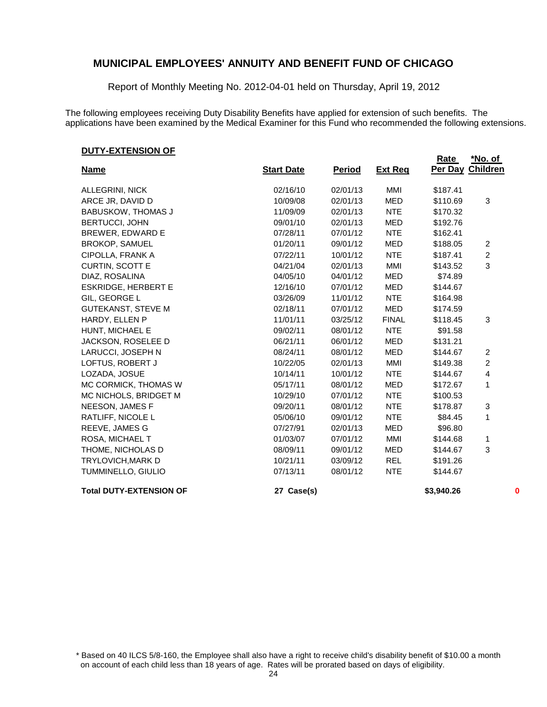Report of Monthly Meeting No. 2012-04-01 held on Thursday, April 19, 2012

The following employees receiving Duty Disability Benefits have applied for extension of such benefits. The applications have been examined by the Medical Examiner for this Fund who recommended the following extensions.

#### **DUTY-EXTENSION OF**

|                                |                   |               |                | <b>Rate</b>      | <u>*No. of</u> |
|--------------------------------|-------------------|---------------|----------------|------------------|----------------|
| <b>Name</b>                    | <b>Start Date</b> | <b>Period</b> | <b>Ext Reg</b> | Per Day Children |                |
| <b>ALLEGRINI, NICK</b>         | 02/16/10          | 02/01/13      | MMI            | \$187.41         |                |
| ARCE JR, DAVID D               | 10/09/08          | 02/01/13      | <b>MED</b>     | \$110.69         | 3              |
| <b>BABUSKOW, THOMAS J</b>      | 11/09/09          | 02/01/13      | <b>NTE</b>     | \$170.32         |                |
| <b>BERTUCCI, JOHN</b>          | 09/01/10          | 02/01/13      | <b>MED</b>     | \$192.76         |                |
| BREWER, EDWARD E               | 07/28/11          | 07/01/12      | <b>NTE</b>     | \$162.41         |                |
| <b>BROKOP, SAMUEL</b>          | 01/20/11          | 09/01/12      | MED            | \$188.05         | 2              |
| CIPOLLA, FRANK A               | 07/22/11          | 10/01/12      | <b>NTE</b>     | \$187.41         | $\overline{2}$ |
| CURTIN, SCOTT E                | 04/21/04          | 02/01/13      | MMI            | \$143.52         | 3              |
| DIAZ, ROSALINA                 | 04/05/10          | 04/01/12      | <b>MED</b>     | \$74.89          |                |
| <b>ESKRIDGE, HERBERT E</b>     | 12/16/10          | 07/01/12      | MED            | \$144.67         |                |
| GIL, GEORGE L                  | 03/26/09          | 11/01/12      | <b>NTE</b>     | \$164.98         |                |
| <b>GUTEKANST, STEVE M</b>      | 02/18/11          | 07/01/12      | MED            | \$174.59         |                |
| HARDY, ELLEN P                 | 11/01/11          | 03/25/12      | <b>FINAL</b>   | \$118.45         | $\sqrt{3}$     |
| HUNT, MICHAEL E                | 09/02/11          | 08/01/12      | <b>NTE</b>     | \$91.58          |                |
| JACKSON, ROSELEE D             | 06/21/11          | 06/01/12      | <b>MED</b>     | \$131.21         |                |
| LARUCCI, JOSEPH N              | 08/24/11          | 08/01/12      | <b>MED</b>     | \$144.67         | $\overline{c}$ |
| LOFTUS, ROBERT J               | 10/22/05          | 02/01/13      | MMI            | \$149.38         | 2              |
| LOZADA, JOSUE                  | 10/14/11          | 10/01/12      | <b>NTE</b>     | \$144.67         | 4              |
| MC CORMICK, THOMAS W           | 05/17/11          | 08/01/12      | <b>MED</b>     | \$172.67         | 1              |
| MC NICHOLS, BRIDGET M          | 10/29/10          | 07/01/12      | <b>NTE</b>     | \$100.53         |                |
| NEESON, JAMES F                | 09/20/11          | 08/01/12      | <b>NTE</b>     | \$178.87         | 3              |
| RATLIFF, NICOLE L              | 05/06/10          | 09/01/12      | <b>NTE</b>     | \$84.45          | 1              |
| REEVE, JAMES G                 | 07/27/91          | 02/01/13      | <b>MED</b>     | \$96.80          |                |
| ROSA, MICHAEL T                | 01/03/07          | 07/01/12      | MMI            | \$144.68         | 1              |
| THOME, NICHOLAS D              | 08/09/11          | 09/01/12      | <b>MED</b>     | \$144.67         | 3              |
| TRYLOVICH, MARK D              | 10/21/11          | 03/09/12      | <b>REL</b>     | \$191.26         |                |
| TUMMINELLO, GIULIO             | 07/13/11          | 08/01/12      | <b>NTE</b>     | \$144.67         |                |
| <b>Total DUTY-EXTENSION OF</b> | 27 Case(s)        |               |                | \$3,940.26       | 0              |

\* Based on 40 ILCS 5/8-160, the Employee shall also have a right to receive child's disability benefit of \$10.00 a month on account of each child less than 18 years of age. Rates will be prorated based on days of eligibility.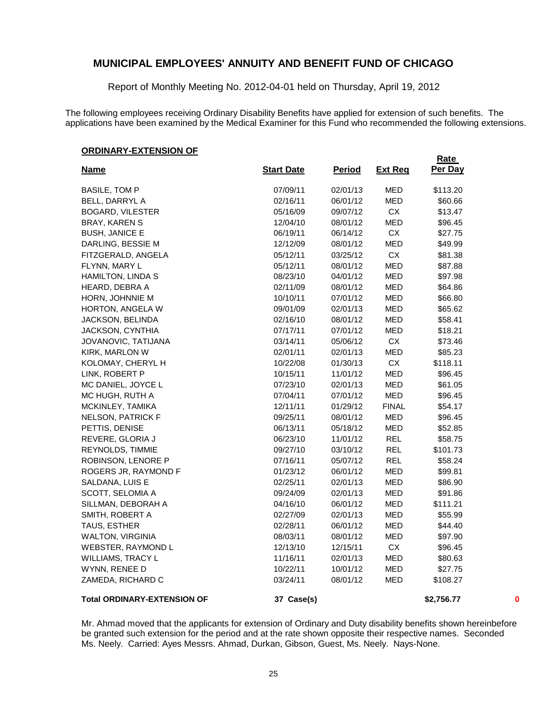Report of Monthly Meeting No. 2012-04-01 held on Thursday, April 19, 2012

The following employees receiving Ordinary Disability Benefits have applied for extension of such benefits. The applications have been examined by the Medical Examiner for this Fund who recommended the following extensions.

**Rate** 

#### **ORDINARY-EXTENSION OF**

| <b>Name</b>                        | <b>Start Date</b> | <b>Period</b> | <b>Ext Reg</b>   | Per Day    |   |
|------------------------------------|-------------------|---------------|------------------|------------|---|
| <b>BASILE, TOM P</b>               | 07/09/11          | 02/01/13      | <b>MED</b>       | \$113.20   |   |
| BELL, DARRYL A                     | 02/16/11          | 06/01/12      | <b>MED</b>       | \$60.66    |   |
| <b>BOGARD, VILESTER</b>            | 05/16/09          | 09/07/12      | CX               | \$13.47    |   |
| <b>BRAY, KAREN S</b>               | 12/04/10          | 08/01/12      | <b>MED</b>       | \$96.45    |   |
| <b>BUSH, JANICE E</b>              | 06/19/11          | 06/14/12      | CX               | \$27.75    |   |
| DARLING, BESSIE M                  | 12/12/09          | 08/01/12      | <b>MED</b>       | \$49.99    |   |
| FITZGERALD, ANGELA                 | 05/12/11          | 03/25/12      | ${\sf C}{\sf X}$ | \$81.38    |   |
| FLYNN, MARY L                      | 05/12/11          | 08/01/12      | <b>MED</b>       | \$87.88    |   |
| HAMILTON, LINDA S                  | 08/23/10          | 04/01/12      | <b>MED</b>       | \$97.98    |   |
| HEARD, DEBRA A                     | 02/11/09          | 08/01/12      | <b>MED</b>       | \$64.86    |   |
| HORN, JOHNNIE M                    | 10/10/11          | 07/01/12      | <b>MED</b>       | \$66.80    |   |
| HORTON, ANGELA W                   | 09/01/09          | 02/01/13      | <b>MED</b>       | \$65.62    |   |
| JACKSON, BELINDA                   | 02/16/10          | 08/01/12      | <b>MED</b>       | \$58.41    |   |
| <b>JACKSON, CYNTHIA</b>            | 07/17/11          | 07/01/12      | <b>MED</b>       | \$18.21    |   |
| JOVANOVIC, TATIJANA                | 03/14/11          | 05/06/12      | CX               | \$73.46    |   |
| KIRK, MARLON W                     | 02/01/11          | 02/01/13      | <b>MED</b>       | \$85.23    |   |
| KOLOMAY, CHERYL H                  | 10/22/08          | 01/30/13      | CX               | \$118.11   |   |
| LINK, ROBERT P                     | 10/15/11          | 11/01/12      | <b>MED</b>       | \$96.45    |   |
| MC DANIEL, JOYCE L                 | 07/23/10          | 02/01/13      | <b>MED</b>       | \$61.05    |   |
| MC HUGH, RUTH A                    | 07/04/11          | 07/01/12      | <b>MED</b>       | \$96.45    |   |
| MCKINLEY, TAMIKA                   | 12/11/11          | 01/29/12      | <b>FINAL</b>     | \$54.17    |   |
| NELSON, PATRICK F                  | 09/25/11          | 08/01/12      | <b>MED</b>       | \$96.45    |   |
| PETTIS, DENISE                     | 06/13/11          | 05/18/12      | <b>MED</b>       | \$52.85    |   |
| REVERE, GLORIA J                   | 06/23/10          | 11/01/12      | <b>REL</b>       | \$58.75    |   |
| REYNOLDS, TIMMIE                   | 09/27/10          | 03/10/12      | <b>REL</b>       | \$101.73   |   |
| ROBINSON, LENORE P                 | 07/16/11          | 05/07/12      | <b>REL</b>       | \$58.24    |   |
| ROGERS JR, RAYMOND F               | 01/23/12          | 06/01/12      | <b>MED</b>       | \$99.81    |   |
| SALDANA, LUIS E                    | 02/25/11          | 02/01/13      | <b>MED</b>       | \$86.90    |   |
| SCOTT, SELOMIA A                   | 09/24/09          | 02/01/13      | <b>MED</b>       | \$91.86    |   |
| SILLMAN, DEBORAH A                 | 04/16/10          | 06/01/12      | MED              | \$111.21   |   |
| SMITH, ROBERT A                    | 02/27/09          | 02/01/13      | <b>MED</b>       | \$55.99    |   |
| TAUS, ESTHER                       | 02/28/11          | 06/01/12      | <b>MED</b>       | \$44.40    |   |
| WALTON, VIRGINIA                   | 08/03/11          | 08/01/12      | <b>MED</b>       | \$97.90    |   |
| WEBSTER, RAYMOND L                 | 12/13/10          | 12/15/11      | CX               | \$96.45    |   |
| WILLIAMS, TRACY L                  | 11/16/11          | 02/01/13      | <b>MED</b>       | \$80.63    |   |
| WYNN, RENEE D                      | 10/22/11          | 10/01/12      | <b>MED</b>       | \$27.75    |   |
| ZAMEDA, RICHARD C                  | 03/24/11          | 08/01/12      | <b>MED</b>       | \$108.27   |   |
| <b>Total ORDINARY-EXTENSION OF</b> | 37 Case(s)        |               |                  | \$2,756.77 | 0 |

Mr. Ahmad moved that the applicants for extension of Ordinary and Duty disability benefits shown hereinbefore be granted such extension for the period and at the rate shown opposite their respective names. Seconded Ms. Neely. Carried: Ayes Messrs. Ahmad, Durkan, Gibson, Guest, Ms. Neely. Nays-None.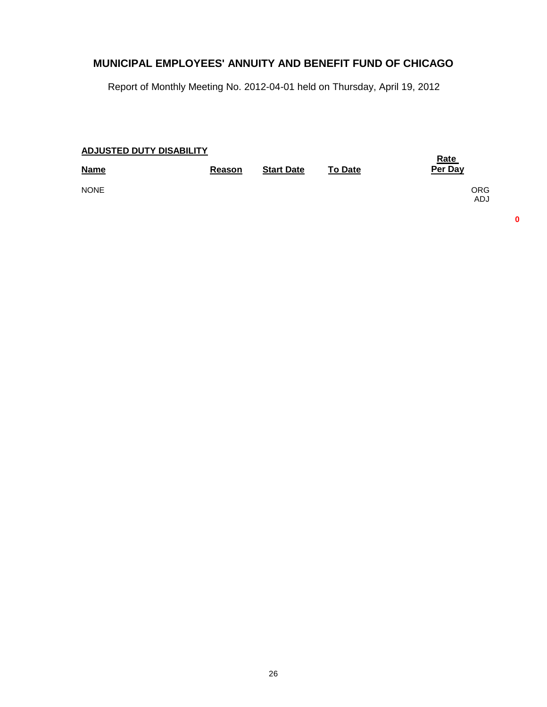Report of Monthly Meeting No. 2012-04-01 held on Thursday, April 19, 2012

| <b>ADJUSTED DUTY DISABILITY</b> | <b>Rate</b> |                   |                |                          |
|---------------------------------|-------------|-------------------|----------------|--------------------------|
| <b>Name</b>                     | Reason      | <b>Start Date</b> | <b>To Date</b> | Per Day                  |
| <b>NONE</b>                     |             |                   |                | <b>ORG</b><br><b>ADJ</b> |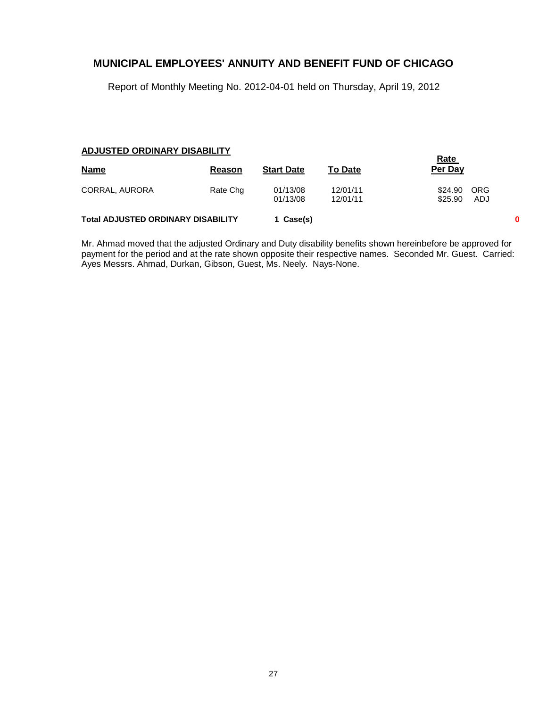Report of Monthly Meeting No. 2012-04-01 held on Thursday, April 19, 2012

#### **ADJUSTED ORDINARY DISABILITY**

|                                           |          |                      |                      | <u>Rate</u>        |                   |
|-------------------------------------------|----------|----------------------|----------------------|--------------------|-------------------|
| <b>Name</b>                               | Reason   | <b>Start Date</b>    | <b>To Date</b>       | Per Day            |                   |
| CORRAL, AURORA                            | Rate Chg | 01/13/08<br>01/13/08 | 12/01/11<br>12/01/11 | \$24.90<br>\$25.90 | <b>ORG</b><br>ADJ |
| <b>Total ADJUSTED ORDINARY DISABILITY</b> |          | 1 Case(s)            |                      |                    | 0                 |

Mr. Ahmad moved that the adjusted Ordinary and Duty disability benefits shown hereinbefore be approved for payment for the period and at the rate shown opposite their respective names. Seconded Mr. Guest. Carried: Ayes Messrs. Ahmad, Durkan, Gibson, Guest, Ms. Neely. Nays-None.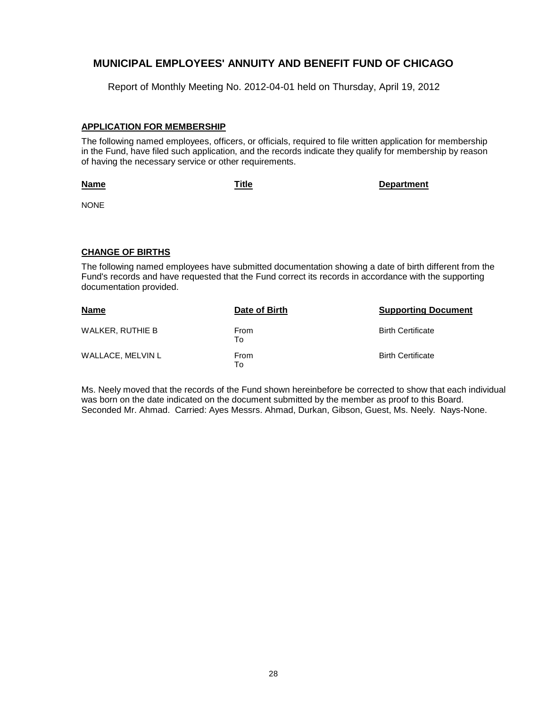Report of Monthly Meeting No. 2012-04-01 held on Thursday, April 19, 2012

#### **APPLICATION FOR MEMBERSHIP**

The following named employees, officers, or officials, required to file written application for membership in the Fund, have filed such application, and the records indicate they qualify for membership by reason of having the necessary service or other requirements.

#### **Name**

**Title Department**

NONE

#### **CHANGE OF BIRTHS**

The following named employees have submitted documentation showing a date of birth different from the Fund's records and have requested that the Fund correct its records in accordance with the supporting documentation provided.

| <b>Name</b>             | Date of Birth     | <b>Supporting Document</b> |
|-------------------------|-------------------|----------------------------|
| <b>WALKER, RUTHIE B</b> | From<br>To        | <b>Birth Certificate</b>   |
| WALLACE, MELVIN L       | <b>From</b><br>To | <b>Birth Certificate</b>   |

Ms. Neely moved that the records of the Fund shown hereinbefore be corrected to show that each individual was born on the date indicated on the document submitted by the member as proof to this Board. Seconded Mr. Ahmad. Carried: Ayes Messrs. Ahmad, Durkan, Gibson, Guest, Ms. Neely. Nays-None.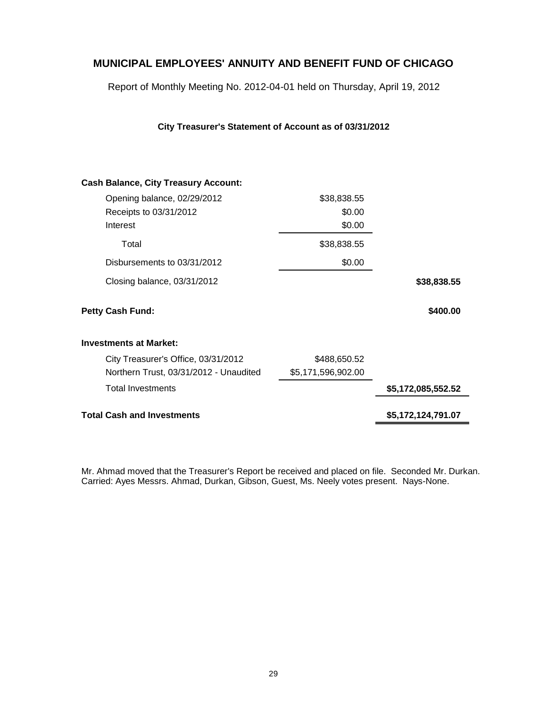Report of Monthly Meeting No. 2012-04-01 held on Thursday, April 19, 2012

**City Treasurer's Statement of Account as of 03/31/2012**

| <b>Total Cash and Investments</b>           |                    | \$5,172,124,791.07 |
|---------------------------------------------|--------------------|--------------------|
| <b>Total Investments</b>                    |                    | \$5,172,085,552.52 |
| Northern Trust, 03/31/2012 - Unaudited      | \$5,171,596,902.00 |                    |
| City Treasurer's Office, 03/31/2012         | \$488,650.52       |                    |
| <b>Investments at Market:</b>               |                    |                    |
| Petty Cash Fund:                            |                    | \$400.00           |
| Closing balance, 03/31/2012                 |                    | \$38,838.55        |
| Disbursements to 03/31/2012                 | \$0.00             |                    |
| Total                                       | \$38,838.55        |                    |
| Interest                                    | \$0.00             |                    |
| Receipts to 03/31/2012                      | \$0.00             |                    |
| Opening balance, 02/29/2012                 | \$38,838.55        |                    |
| <b>Cash Balance, City Treasury Account:</b> |                    |                    |
|                                             |                    |                    |

Mr. Ahmad moved that the Treasurer's Report be received and placed on file. Seconded Mr. Durkan. Carried: Ayes Messrs. Ahmad, Durkan, Gibson, Guest, Ms. Neely votes present. Nays-None.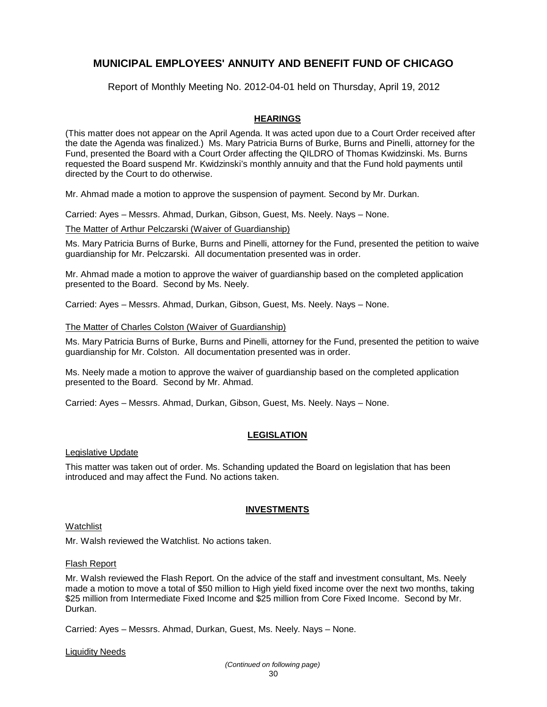Report of Monthly Meeting No. 2012-04-01 held on Thursday, April 19, 2012

### **HEARINGS**

(This matter does not appear on the April Agenda. It was acted upon due to a Court Order received after the date the Agenda was finalized.) Ms. Mary Patricia Burns of Burke, Burns and Pinelli, attorney for the Fund, presented the Board with a Court Order affecting the QILDRO of Thomas Kwidzinski. Ms. Burns requested the Board suspend Mr. Kwidzinski's monthly annuity and that the Fund hold payments until directed by the Court to do otherwise.

Mr. Ahmad made a motion to approve the suspension of payment. Second by Mr. Durkan.

Carried: Ayes – Messrs. Ahmad, Durkan, Gibson, Guest, Ms. Neely. Nays – None.

The Matter of Arthur Pelczarski (Waiver of Guardianship)

Ms. Mary Patricia Burns of Burke, Burns and Pinelli, attorney for the Fund, presented the petition to waive guardianship for Mr. Pelczarski. All documentation presented was in order.

Mr. Ahmad made a motion to approve the waiver of guardianship based on the completed application presented to the Board. Second by Ms. Neely.

Carried: Ayes – Messrs. Ahmad, Durkan, Gibson, Guest, Ms. Neely. Nays – None.

#### The Matter of Charles Colston (Waiver of Guardianship)

Ms. Mary Patricia Burns of Burke, Burns and Pinelli, attorney for the Fund, presented the petition to waive guardianship for Mr. Colston. All documentation presented was in order.

Ms. Neely made a motion to approve the waiver of guardianship based on the completed application presented to the Board. Second by Mr. Ahmad.

Carried: Ayes – Messrs. Ahmad, Durkan, Gibson, Guest, Ms. Neely. Nays – None.

#### **LEGISLATION**

Legislative Update

This matter was taken out of order. Ms. Schanding updated the Board on legislation that has been introduced and may affect the Fund. No actions taken.

#### **INVESTMENTS**

#### Watchlist

Mr. Walsh reviewed the Watchlist. No actions taken.

#### Flash Report

Mr. Walsh reviewed the Flash Report. On the advice of the staff and investment consultant, Ms. Neely made a motion to move a total of \$50 million to High yield fixed income over the next two months, taking \$25 million from Intermediate Fixed Income and \$25 million from Core Fixed Income. Second by Mr. Durkan.

Carried: Ayes – Messrs. Ahmad, Durkan, Guest, Ms. Neely. Nays – None.

#### Liquidity Needs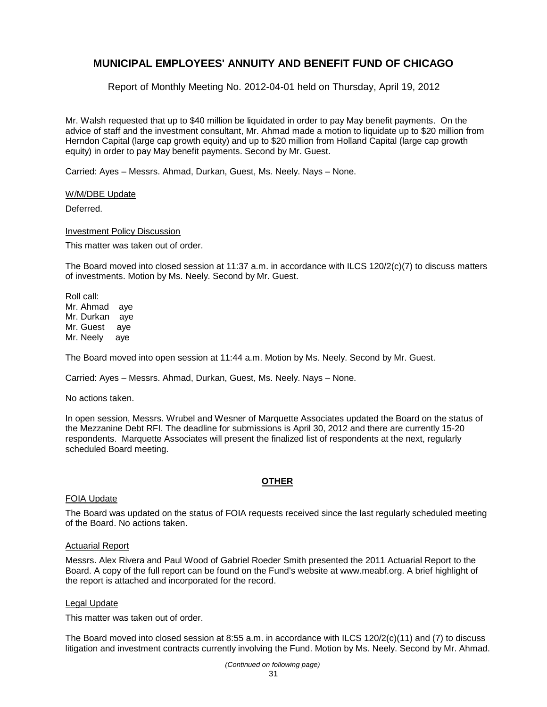Report of Monthly Meeting No. 2012-04-01 held on Thursday, April 19, 2012

Mr. Walsh requested that up to \$40 million be liquidated in order to pay May benefit payments. On the advice of staff and the investment consultant, Mr. Ahmad made a motion to liquidate up to \$20 million from Herndon Capital (large cap growth equity) and up to \$20 million from Holland Capital (large cap growth equity) in order to pay May benefit payments. Second by Mr. Guest.

Carried: Ayes – Messrs. Ahmad, Durkan, Guest, Ms. Neely. Nays – None.

W/M/DBE Update

Deferred.

#### **Investment Policy Discussion**

This matter was taken out of order.

The Board moved into closed session at 11:37 a.m. in accordance with ILCS 120/2(c)(7) to discuss matters of investments. Motion by Ms. Neely. Second by Mr. Guest.

Roll call: Mr. Ahmad aye Mr. Durkan aye Mr. Guest aye Mr. Neely aye

The Board moved into open session at 11:44 a.m. Motion by Ms. Neely. Second by Mr. Guest.

Carried: Ayes – Messrs. Ahmad, Durkan, Guest, Ms. Neely. Nays – None.

No actions taken.

In open session, Messrs. Wrubel and Wesner of Marquette Associates updated the Board on the status of the Mezzanine Debt RFI. The deadline for submissions is April 30, 2012 and there are currently 15-20 respondents. Marquette Associates will present the finalized list of respondents at the next, regularly scheduled Board meeting.

#### **OTHER**

#### FOIA Update

The Board was updated on the status of FOIA requests received since the last regularly scheduled meeting of the Board. No actions taken.

#### Actuarial Report

Messrs. Alex Rivera and Paul Wood of Gabriel Roeder Smith presented the 2011 Actuarial Report to the Board. A copy of the full report can be found on the Fund's website at www.meabf.org. A brief highlight of the report is attached and incorporated for the record.

#### Legal Update

This matter was taken out of order.

The Board moved into closed session at 8:55 a.m. in accordance with ILCS 120/2(c)(11) and (7) to discuss litigation and investment contracts currently involving the Fund. Motion by Ms. Neely. Second by Mr. Ahmad.